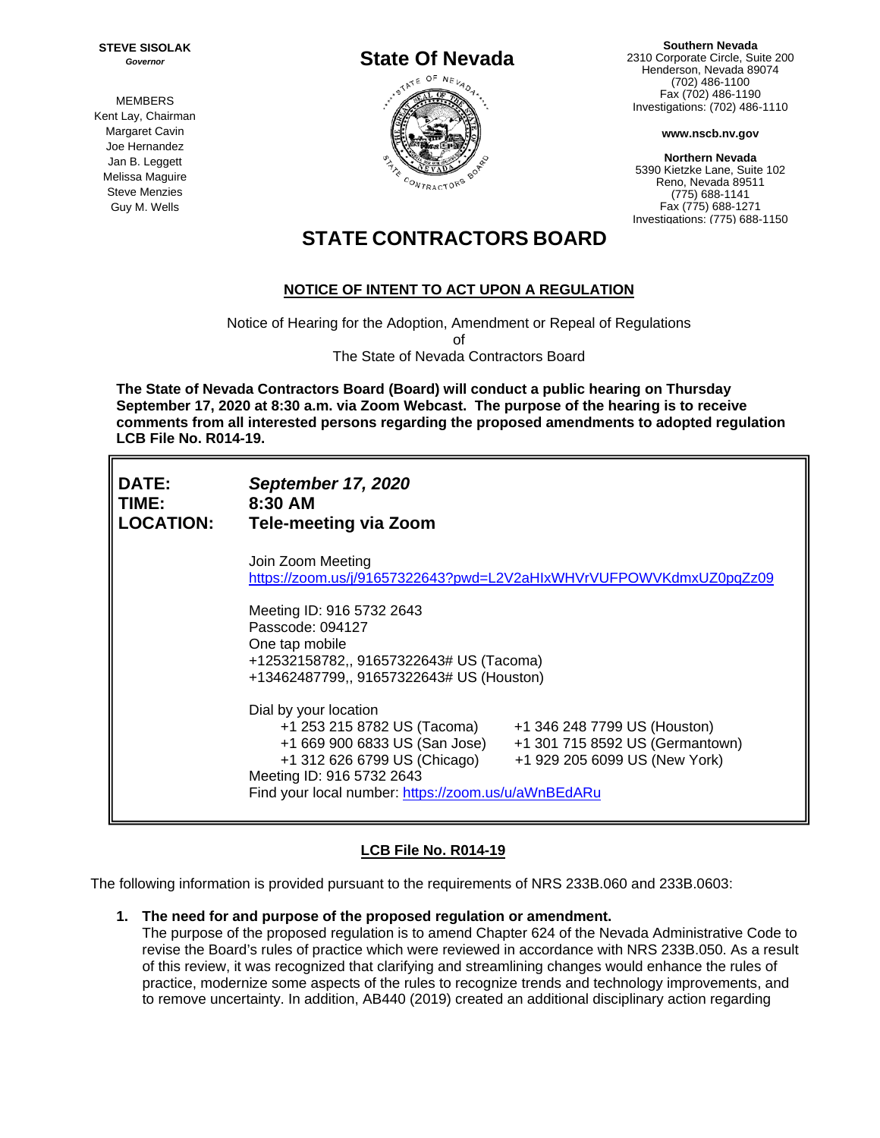**STEVE SISOLAK** *Governor*

**MEMBERS** Kent Lay, Chairman Margaret Cavin Joe Hernandez Jan B. Leggett Melissa Maguire Steve Menzies Guy M. Wells



**Southern Nevada** 2310 Corporate Circle, Suite 200 Henderson, Nevada 89074 (702) 486-1100 Fax (702) 486-1190 Investigations: (702) 486-1110

**www.nscb.nv.gov**

**Northern Nevada** 5390 Kietzke Lane, Suite 102 Reno, Nevada 89511 (775) 688-1141 Fax (775) 688-1271 Investigations: (775) 688-1150

# **STATE CONTRACTORS BOARD**

## **NOTICE OF INTENT TO ACT UPON A REGULATION**

Notice of Hearing for the Adoption, Amendment or Repeal of Regulations of The State of Nevada Contractors Board

**The State of Nevada Contractors Board (Board) will conduct a public hearing on Thursday September 17, 2020 at 8:30 a.m. via Zoom Webcast. The purpose of the hearing is to receive comments from all interested persons regarding the proposed amendments to adopted regulation LCB File No. R014-19.** 

| <b>DATE:</b><br>TIME:<br><b>LOCATION:</b> | <b>September 17, 2020</b><br>8:30 AM<br><b>Tele-meeting via Zoom</b>                                                                                                                                                                                                                                          |  |  |
|-------------------------------------------|---------------------------------------------------------------------------------------------------------------------------------------------------------------------------------------------------------------------------------------------------------------------------------------------------------------|--|--|
|                                           | Join Zoom Meeting<br>https://zoom.us/j/91657322643?pwd=L2V2aHlxWHVrVUFPOWVKdmxUZ0pqZz09                                                                                                                                                                                                                       |  |  |
|                                           | Meeting ID: 916 5732 2643<br>Passcode: 094127<br>One tap mobile<br>+12532158782,, 91657322643# US (Tacoma)<br>+13462487799,, 91657322643# US (Houston)                                                                                                                                                        |  |  |
|                                           | Dial by your location<br>+1 253 215 8782 US (Tacoma)<br>+1 346 248 7799 US (Houston)<br>+1 669 900 6833 US (San Jose)<br>+1 301 715 8592 US (Germantown)<br>+1 312 626 6799 US (Chicago)<br>+1 929 205 6099 US (New York)<br>Meeting ID: 916 5732 2643<br>Find your local number: https://zoom.us/u/aWnBEdARu |  |  |

### **LCB File No. R014-19**

The following information is provided pursuant to the requirements of NRS 233B.060 and 233B.0603:

**1. The need for and purpose of the proposed regulation or amendment.**

The purpose of the proposed regulation is to amend Chapter 624 of the Nevada Administrative Code to revise the Board's rules of practice which were reviewed in accordance with NRS 233B.050. As a result of this review, it was recognized that clarifying and streamlining changes would enhance the rules of practice, modernize some aspects of the rules to recognize trends and technology improvements, and to remove uncertainty. In addition, AB440 (2019) created an additional disciplinary action regarding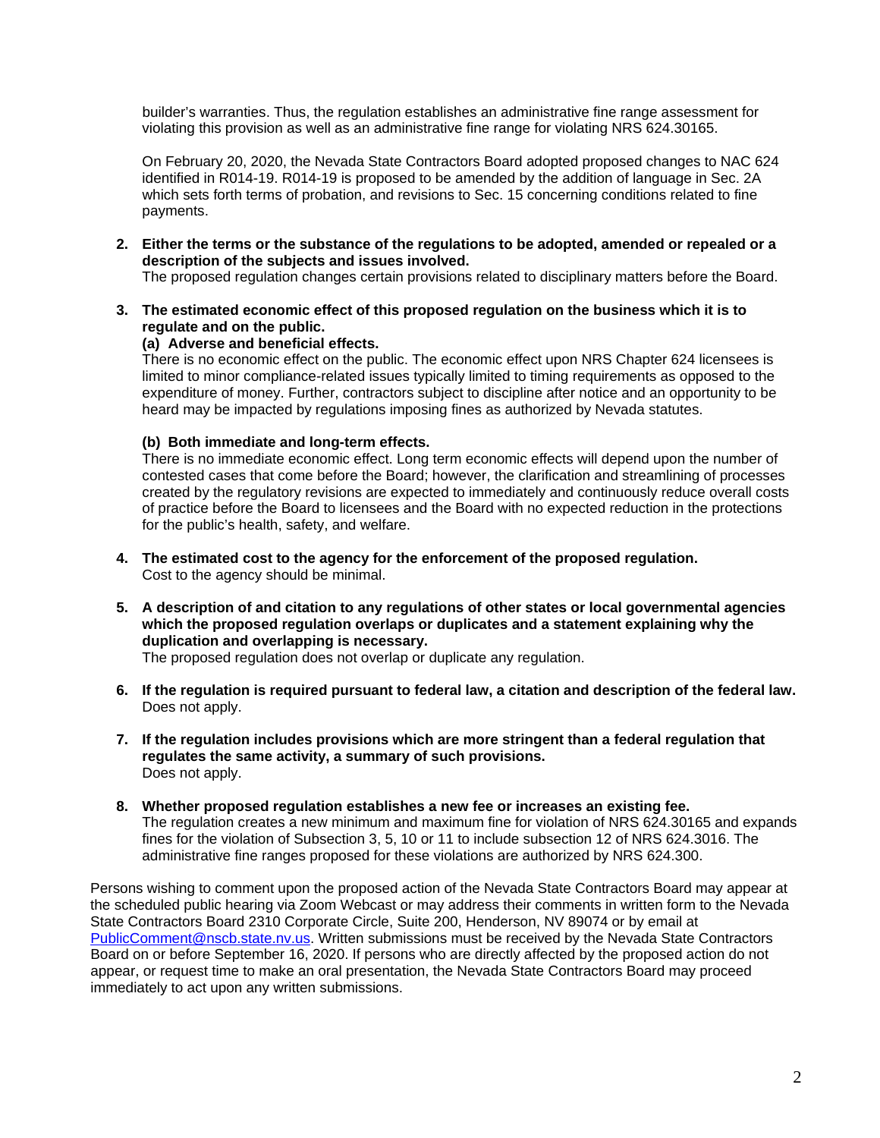builder's warranties. Thus, the regulation establishes an administrative fine range assessment for violating this provision as well as an administrative fine range for violating NRS 624.30165.

On February 20, 2020, the Nevada State Contractors Board adopted proposed changes to NAC 624 identified in R014-19. R014-19 is proposed to be amended by the addition of language in Sec. 2A which sets forth terms of probation, and revisions to Sec. 15 concerning conditions related to fine payments.

**2. Either the terms or the substance of the regulations to be adopted, amended or repealed or a description of the subjects and issues involved.**

The proposed regulation changes certain provisions related to disciplinary matters before the Board.

**3. The estimated economic effect of this proposed regulation on the business which it is to regulate and on the public.**

### **(a) Adverse and beneficial effects.**

There is no economic effect on the public. The economic effect upon NRS Chapter 624 licensees is limited to minor compliance-related issues typically limited to timing requirements as opposed to the expenditure of money. Further, contractors subject to discipline after notice and an opportunity to be heard may be impacted by regulations imposing fines as authorized by Nevada statutes.

### **(b) Both immediate and long-term effects.**

There is no immediate economic effect. Long term economic effects will depend upon the number of contested cases that come before the Board; however, the clarification and streamlining of processes created by the regulatory revisions are expected to immediately and continuously reduce overall costs of practice before the Board to licensees and the Board with no expected reduction in the protections for the public's health, safety, and welfare.

- **4. The estimated cost to the agency for the enforcement of the proposed regulation.** Cost to the agency should be minimal.
- **5. A description of and citation to any regulations of other states or local governmental agencies which the proposed regulation overlaps or duplicates and a statement explaining why the duplication and overlapping is necessary.**

The proposed regulation does not overlap or duplicate any regulation.

- **6. If the regulation is required pursuant to federal law, a citation and description of the federal law.** Does not apply.
- **7. If the regulation includes provisions which are more stringent than a federal regulation that regulates the same activity, a summary of such provisions.** Does not apply.
- **8. Whether proposed regulation establishes a new fee or increases an existing fee.** The regulation creates a new minimum and maximum fine for violation of NRS 624.30165 and expands fines for the violation of Subsection 3, 5, 10 or 11 to include subsection 12 of NRS 624.3016. The administrative fine ranges proposed for these violations are authorized by NRS 624.300.

Persons wishing to comment upon the proposed action of the Nevada State Contractors Board may appear at the scheduled public hearing via Zoom Webcast or may address their comments in written form to the Nevada State Contractors Board 2310 Corporate Circle, Suite 200, Henderson, NV 89074 or by email at [PublicComment@nscb.state.nv.us.](mailto:PublicComment@nscb.state.nv.us) Written submissions must be received by the Nevada State Contractors Board on or before September 16, 2020. If persons who are directly affected by the proposed action do not appear, or request time to make an oral presentation, the Nevada State Contractors Board may proceed immediately to act upon any written submissions.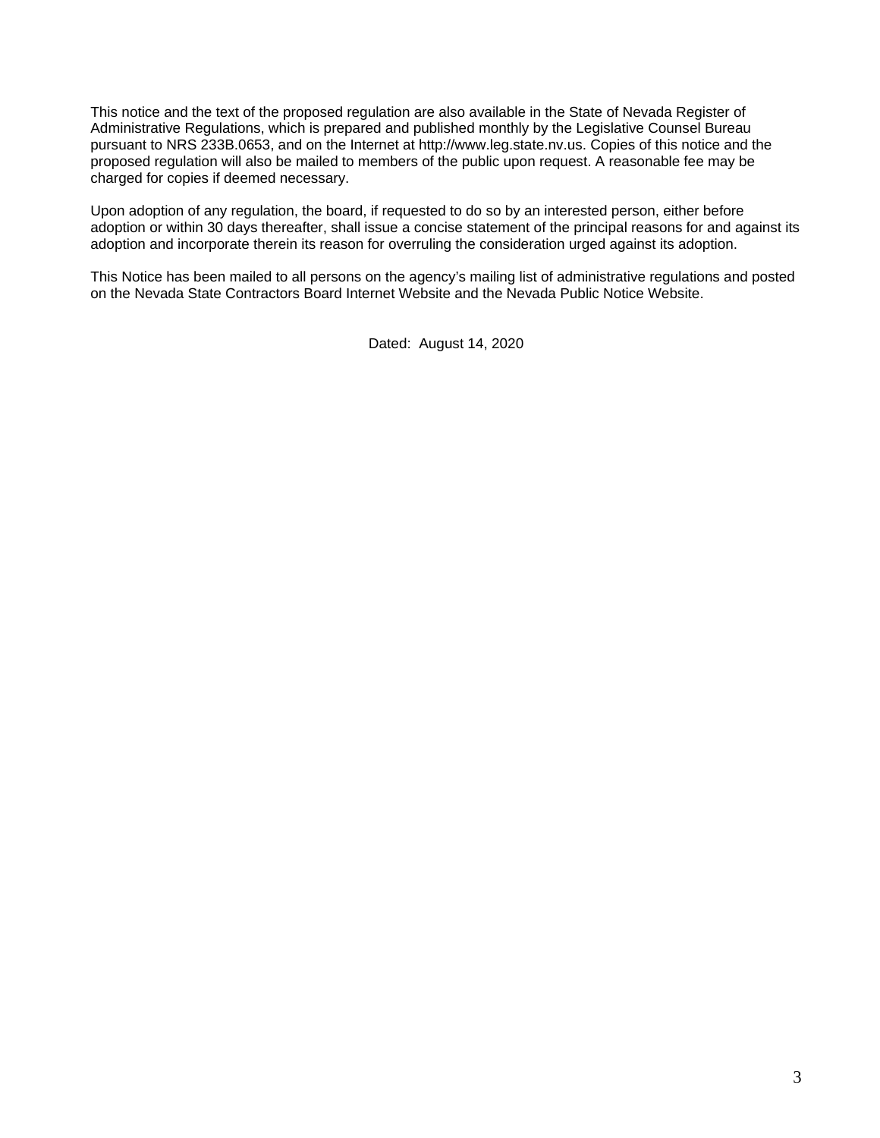This notice and the text of the proposed regulation are also available in the State of Nevada Register of Administrative Regulations, which is prepared and published monthly by the Legislative Counsel Bureau pursuant to NRS 233B.0653, and on the Internet at http://www.leg.state.nv.us. Copies of this notice and the proposed regulation will also be mailed to members of the public upon request. A reasonable fee may be charged for copies if deemed necessary.

Upon adoption of any regulation, the board, if requested to do so by an interested person, either before adoption or within 30 days thereafter, shall issue a concise statement of the principal reasons for and against its adoption and incorporate therein its reason for overruling the consideration urged against its adoption.

This Notice has been mailed to all persons on the agency's mailing list of administrative regulations and posted on the Nevada State Contractors Board Internet Website and the Nevada Public Notice Website.

Dated: August 14, 2020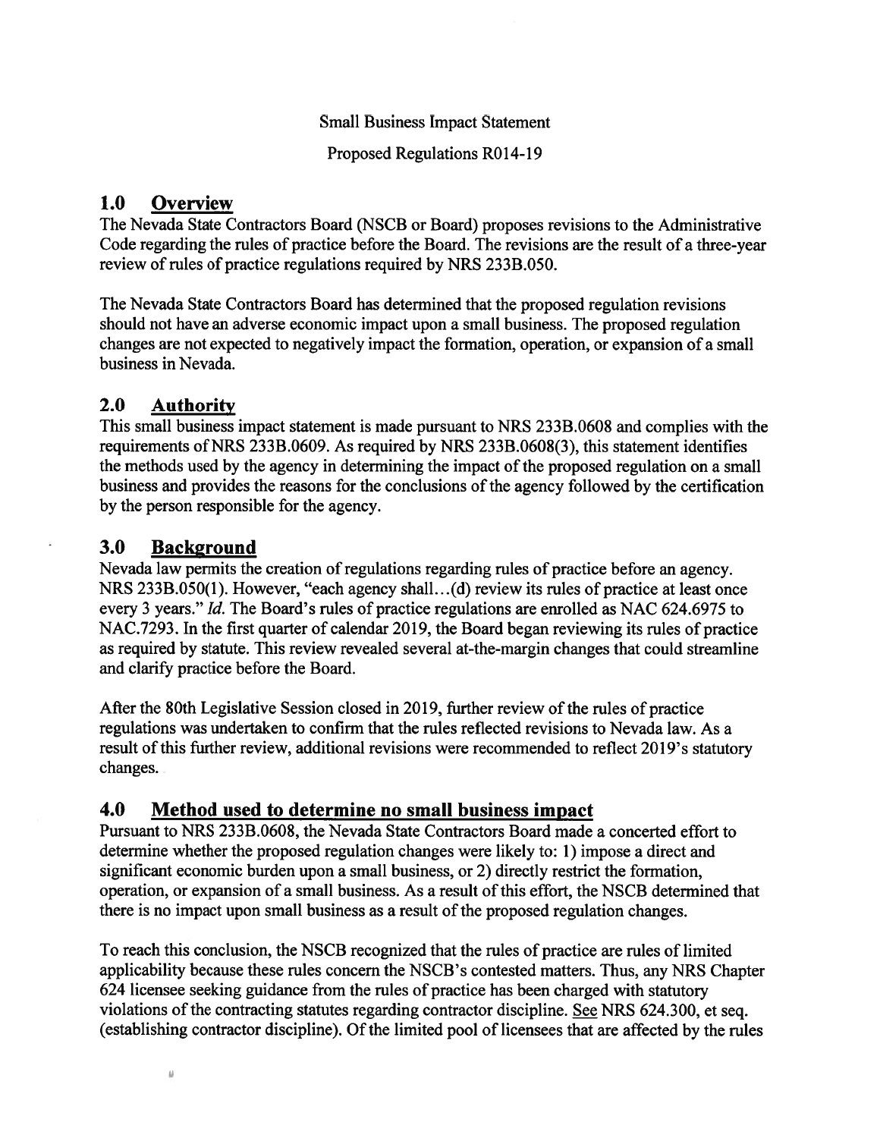### **Small Business Impact Statement**

Proposed Regulations R014-19

#### 1.0 Overview

The Nevada State Contractors Board (NSCB or Board) proposes revisions to the Administrative Code regarding the rules of practice before the Board. The revisions are the result of a three-year review of rules of practice regulations required by NRS 233B.050.

The Nevada State Contractors Board has determined that the proposed regulation revisions should not have an adverse economic impact upon a small business. The proposed regulation changes are not expected to negatively impact the formation, operation, or expansion of a small business in Nevada.

#### $2.0$ **Authority**

This small business impact statement is made pursuant to NRS 233B.0608 and complies with the requirements of NRS 233B,0609. As required by NRS 233B,0608(3), this statement identifies the methods used by the agency in determining the impact of the proposed regulation on a small business and provides the reasons for the conclusions of the agency followed by the certification by the person responsible for the agency.

#### $3.0<sub>1</sub>$ **Background**

Nevada law permits the creation of regulations regarding rules of practice before an agency. NRS 233B.050(1). However, "each agency shall...(d) review its rules of practice at least once every 3 years." *Id.* The Board's rules of practice regulations are enrolled as NAC 624.6975 to NAC.7293. In the first quarter of calendar 2019, the Board began reviewing its rules of practice as required by statute. This review revealed several at-the-margin changes that could streamline and clarify practice before the Board.

After the 80th Legislative Session closed in 2019, further review of the rules of practice regulations was undertaken to confirm that the rules reflected revisions to Nevada law. As a result of this further review, additional revisions were recommended to reflect 2019's statutory changes.

#### 4.0 Method used to determine no small business impact

Pursuant to NRS 233B.0608, the Nevada State Contractors Board made a concerted effort to determine whether the proposed regulation changes were likely to: 1) impose a direct and significant economic burden upon a small business, or 2) directly restrict the formation, operation, or expansion of a small business. As a result of this effort, the NSCB determined that there is no impact upon small business as a result of the proposed regulation changes.

To reach this conclusion, the NSCB recognized that the rules of practice are rules of limited applicability because these rules concern the NSCB's contested matters. Thus, any NRS Chapter 624 licensee seeking guidance from the rules of practice has been charged with statutory violations of the contracting statutes regarding contractor discipline. See NRS 624.300, et seq. (establishing contractor discipline). Of the limited pool of licensees that are affected by the rules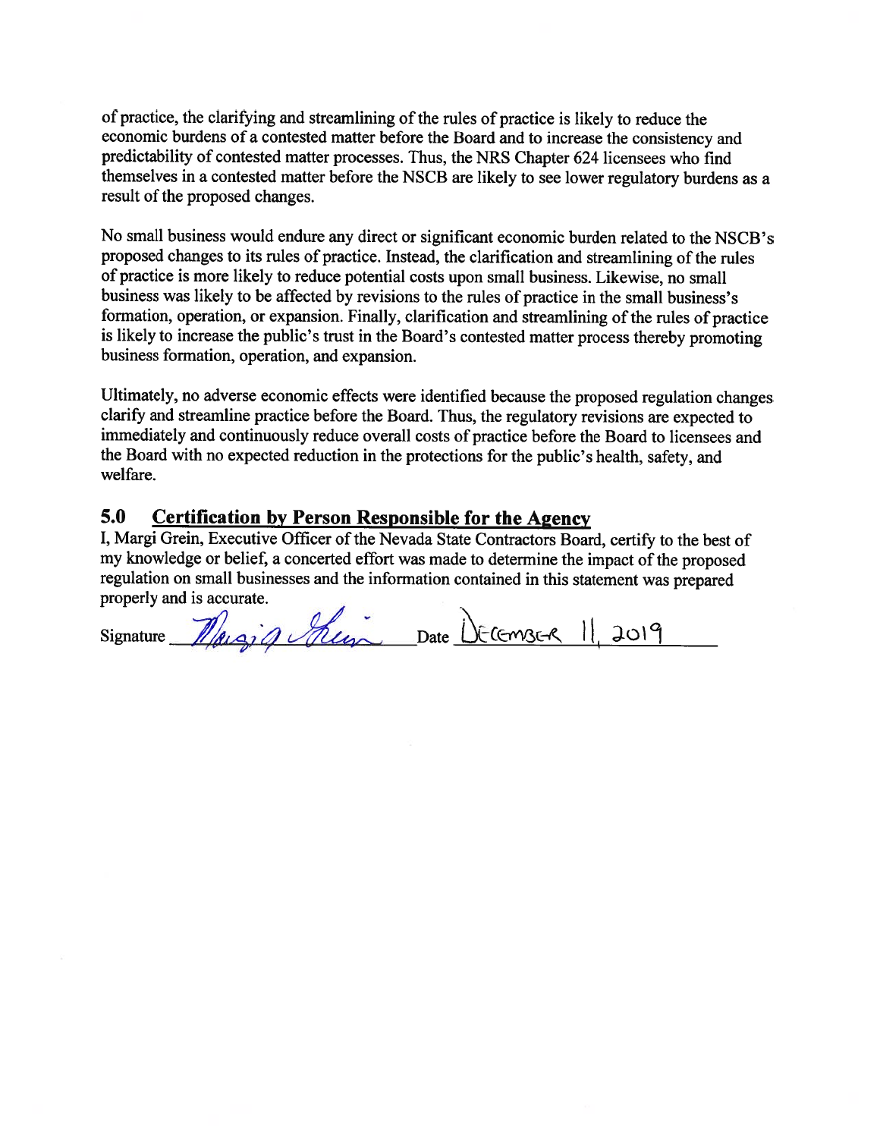of practice, the clarifying and streamlining of the rules of practice is likely to reduce the economic burdens of a contested matter before the Board and to increase the consistency and predictability of contested matter processes. Thus, the NRS Chapter 624 licensees who find themselves in a contested matter before the NSCB are likely to see lower regulatory burdens as a result of the proposed changes.

No small business would endure any direct or significant economic burden related to the NSCB's proposed changes to its rules of practice. Instead, the clarification and streamlining of the rules of practice is more likely to reduce potential costs upon small business. Likewise, no small business was likely to be affected by revisions to the rules of practice in the small business's formation, operation, or expansion. Finally, clarification and streamlining of the rules of practice is likely to increase the public's trust in the Board's contested matter process thereby promoting business formation, operation, and expansion.

Ultimately, no adverse economic effects were identified because the proposed regulation changes clarify and streamline practice before the Board. Thus, the regulatory revisions are expected to immediately and continuously reduce overall costs of practice before the Board to licensees and the Board with no expected reduction in the protections for the public's health, safety, and welfare.

### **Certification by Person Responsible for the Agency** 5.0

I, Margi Grein, Executive Officer of the Nevada State Contractors Board, certify to the best of my knowledge or belief, a concerted effort was made to determine the impact of the proposed regulation on small businesses and the information contained in this statement was prepared properly and is accurate.

signature *Margin hung* Date DECEMBER 1, 2019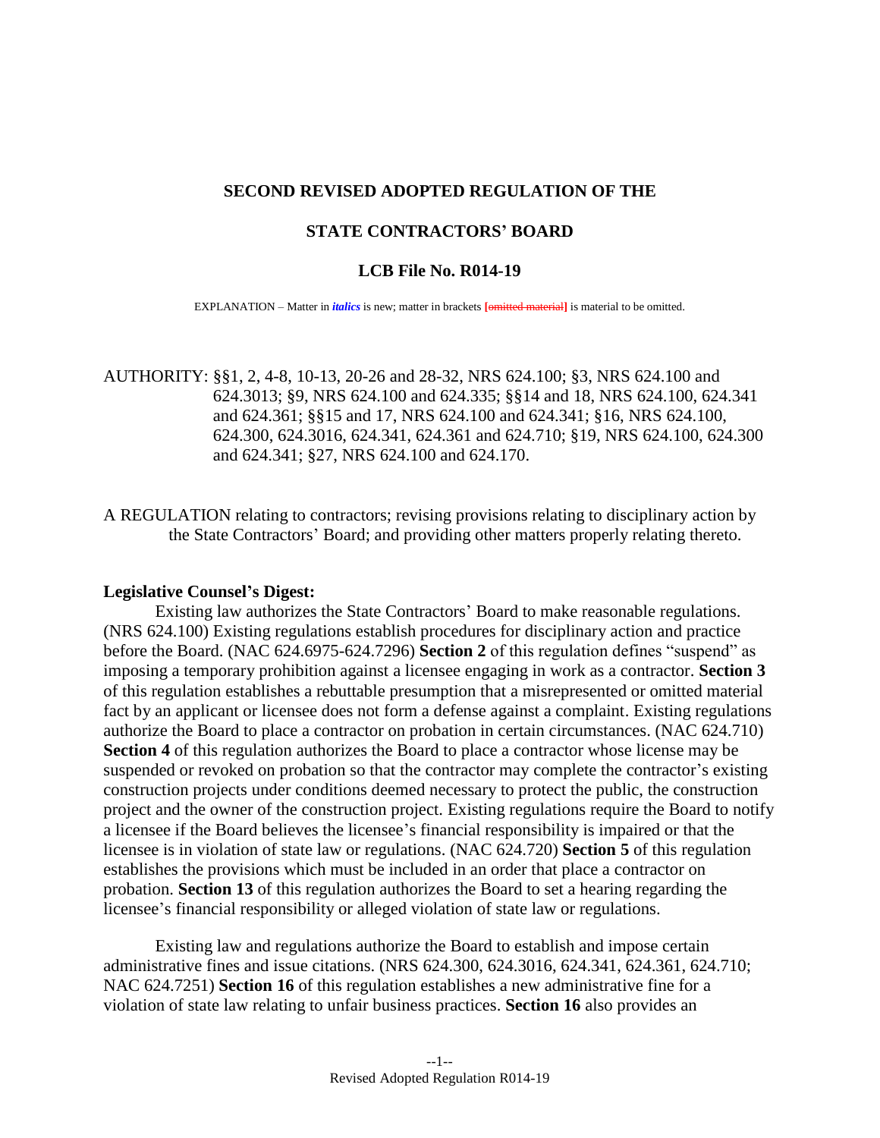### **SECOND REVISED ADOPTED REGULATION OF THE**

### **STATE CONTRACTORS' BOARD**

### **LCB File No. R014-19**

EXPLANATION – Matter in *italics* is new; matter in brackets **[**omitted material**]** is material to be omitted.

AUTHORITY: §[§1,](#page-7-0) [2,](#page-7-1) [4-](#page-7-2)[8,](#page-9-0) [10-](#page-10-0)[13,](#page-12-0) [20-](#page-19-0)[26](#page-22-0) and [28](#page-24-0)[-32,](#page-26-0) NRS 624.100; [§3,](#page-7-3) NRS 624.100 and 624.3013; [§9,](#page-9-1) NRS 624.100 and 624.335; §[§14](#page-12-1) and [18,](#page-18-0) NRS 624.100, 624.341 and 624.361; §[§15](#page-14-0) and [17,](#page-18-1) NRS 624.100 and 624.341; [§16,](#page-14-1) NRS 624.100, 624.300, 624.3016, 624.341, 624.361 and 624.710; [§19,](#page-19-1) NRS 624.100, 624.300 and 624.341; [§27,](#page-23-0) NRS 624.100 and 624.170.

A REGULATION relating to contractors; revising provisions relating to disciplinary action by the State Contractors' Board; and providing other matters properly relating thereto.

### **Legislative Counsel's Digest:**

Existing law authorizes the State Contractors' Board to make reasonable regulations. (NRS 624.100) Existing regulations establish procedures for disciplinary action and practice before the Board. (NAC 624.6975-624.7296) **Section [2](#page-7-1)** of this regulation defines "suspend" as imposing a temporary prohibition against a licensee engaging in work as a contractor. **Section [3](#page-7-3)** of this regulation establishes a rebuttable presumption that a misrepresented or omitted material fact by an applicant or licensee does not form a defense against a complaint. Existing regulations authorize the Board to place a contractor on probation in certain circumstances. (NAC 624.710) **Section [4](#page-7-2)** of this regulation authorizes the Board to place a contractor whose license may be suspended or revoked on probation so that the contractor may complete the contractor's existing construction projects under conditions deemed necessary to protect the public, the construction project and the owner of the construction project. Existing regulations require the Board to notify a licensee if the Board believes the licensee's financial responsibility is impaired or that the licensee is in violation of state law or regulations. (NAC 624.720) **Section [5](#page-7-4)** of this regulation establishes the provisions which must be included in an order that place a contractor on probation. **Section [13](#page-12-0)** of this regulation authorizes the Board to set a hearing regarding the licensee's financial responsibility or alleged violation of state law or regulations.

Existing law and regulations authorize the Board to establish and impose certain administrative fines and issue citations. (NRS 624.300, 624.3016, 624.341, 624.361, 624.710; NAC 624.7251) **Section [16](#page-14-1)** of this regulation establishes a new administrative fine for a violation of state law relating to unfair business practices. **Section [16](#page-14-1)** also provides an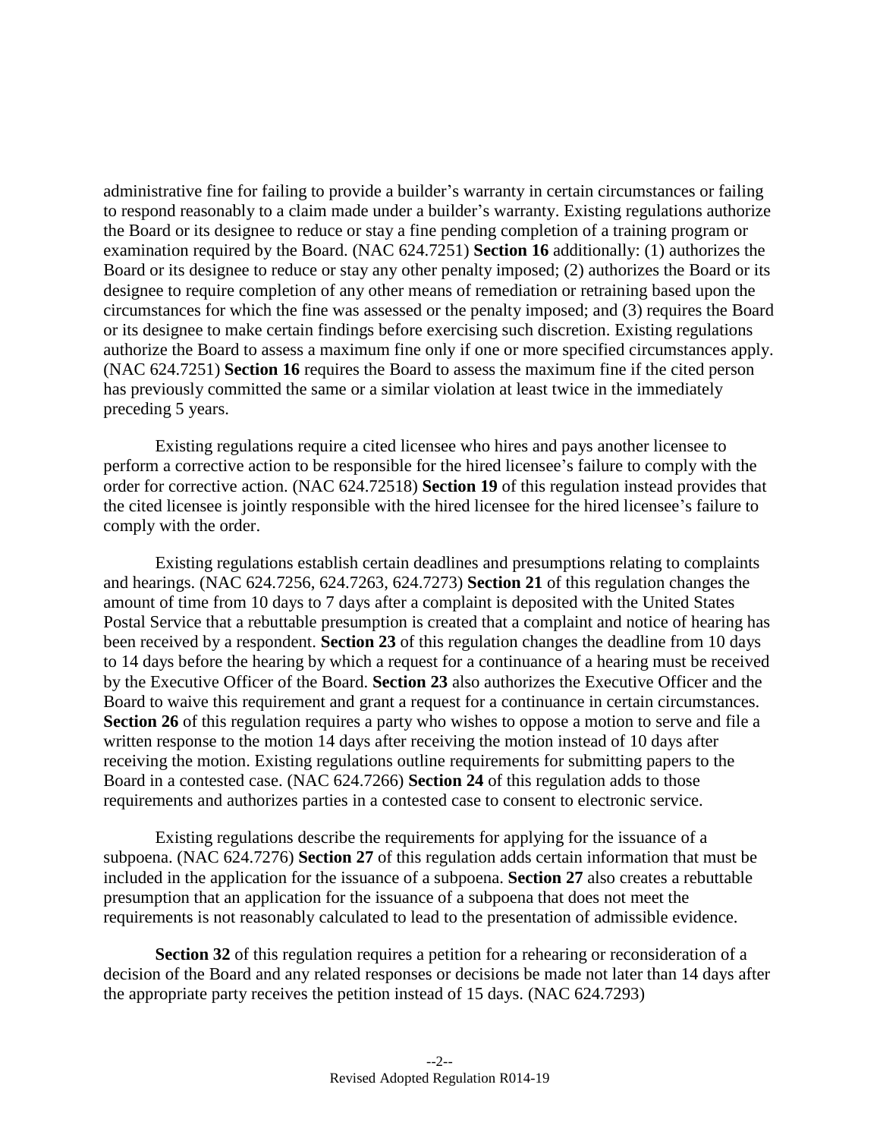administrative fine for failing to provide a builder's warranty in certain circumstances or failing to respond reasonably to a claim made under a builder's warranty. Existing regulations authorize the Board or its designee to reduce or stay a fine pending completion of a training program or examination required by the Board. (NAC 624.7251) **Section [16](#page-14-1)** additionally: (1) authorizes the Board or its designee to reduce or stay any other penalty imposed; (2) authorizes the Board or its designee to require completion of any other means of remediation or retraining based upon the circumstances for which the fine was assessed or the penalty imposed; and (3) requires the Board or its designee to make certain findings before exercising such discretion. Existing regulations authorize the Board to assess a maximum fine only if one or more specified circumstances apply. (NAC 624.7251) **Section [16](#page-14-1)** requires the Board to assess the maximum fine if the cited person has previously committed the same or a similar violation at least twice in the immediately preceding 5 years.

Existing regulations require a cited licensee who hires and pays another licensee to perform a corrective action to be responsible for the hired licensee's failure to comply with the order for corrective action. (NAC 624.72518) **Section [19](#page-19-1)** of this regulation instead provides that the cited licensee is jointly responsible with the hired licensee for the hired licensee's failure to comply with the order.

Existing regulations establish certain deadlines and presumptions relating to complaints and hearings. (NAC 624.7256, 624.7263, 624.7273) **Section [21](#page-20-0)** of this regulation changes the amount of time from 10 days to 7 days after a complaint is deposited with the United States Postal Service that a rebuttable presumption is created that a complaint and notice of hearing has been received by a respondent. **Section [23](#page-21-0)** of this regulation changes the deadline from 10 days to 14 days before the hearing by which a request for a continuance of a hearing must be received by the Executive Officer of the Board. **Section [23](#page-21-0)** also authorizes the Executive Officer and the Board to waive this requirement and grant a request for a continuance in certain circumstances. **Section [26](#page-22-0)** of this regulation requires a party who wishes to oppose a motion to serve and file a written response to the motion 14 days after receiving the motion instead of 10 days after receiving the motion. Existing regulations outline requirements for submitting papers to the Board in a contested case. (NAC 624.7266) **Section [24](#page-21-1)** of this regulation adds to those requirements and authorizes parties in a contested case to consent to electronic service.

Existing regulations describe the requirements for applying for the issuance of a subpoena. (NAC 624.7276) **Section [27](#page-23-0)** of this regulation adds certain information that must be included in the application for the issuance of a subpoena. **Section [27](#page-23-0)** also creates a rebuttable presumption that an application for the issuance of a subpoena that does not meet the requirements is not reasonably calculated to lead to the presentation of admissible evidence.

**Section** [32](#page-26-0) of this regulation requires a petition for a rehearing or reconsideration of a decision of the Board and any related responses or decisions be made not later than 14 days after the appropriate party receives the petition instead of 15 days. (NAC 624.7293)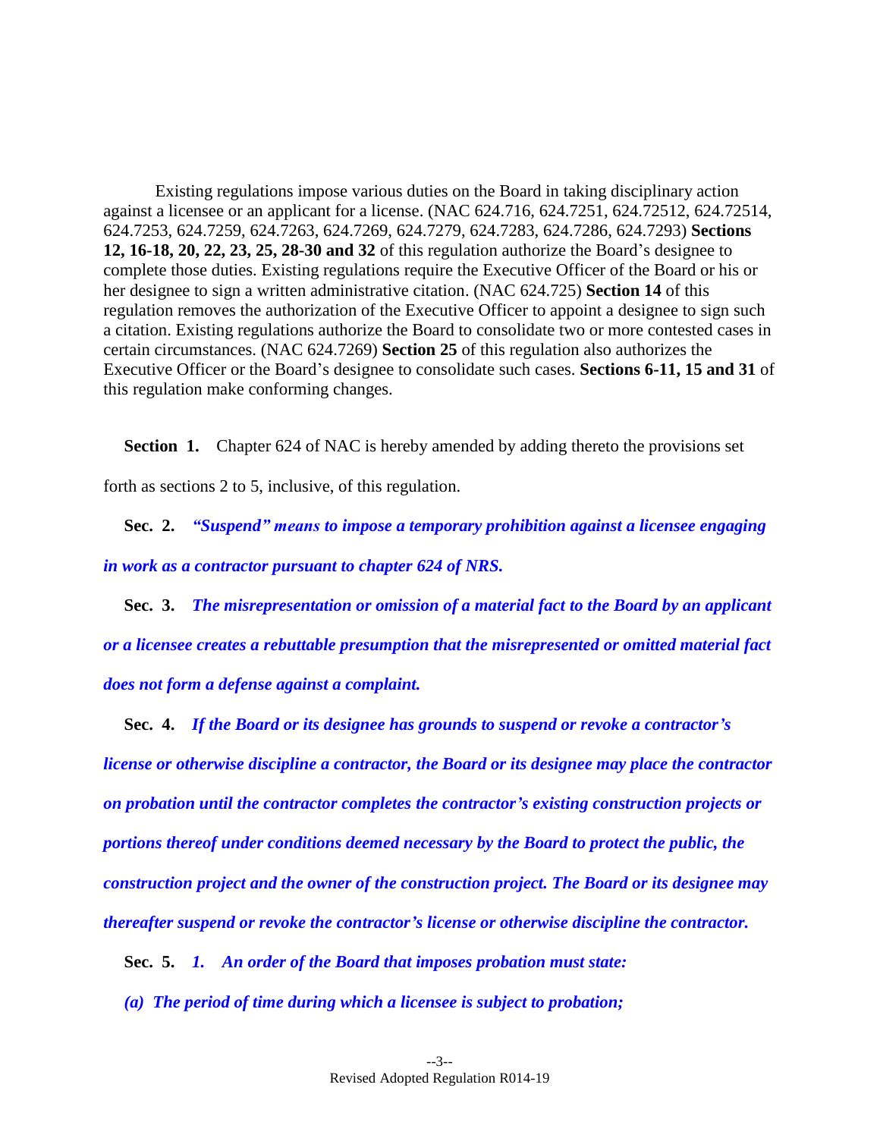Existing regulations impose various duties on the Board in taking disciplinary action against a licensee or an applicant for a license. (NAC 624.716, 624.7251, 624.72512, 624.72514, 624.7253, 624.7259, 624.7263, 624.7269, 624.7279, 624.7283, 624.7286, 624.7293) **Sections [12,](#page-11-0) [16](#page-14-1)[-18,](#page-18-0) [20,](#page-19-0) [22,](#page-20-1) [23,](#page-21-0) [25,](#page-22-1) [28](#page-24-0)[-30](#page-25-0) and [32](#page-26-0)** of this regulation authorize the Board's designee to complete those duties. Existing regulations require the Executive Officer of the Board or his or her designee to sign a written administrative citation. (NAC 624.725) **Section [14](#page-12-1)** of this regulation removes the authorization of the Executive Officer to appoint a designee to sign such a citation. Existing regulations authorize the Board to consolidate two or more contested cases in certain circumstances. (NAC 624.7269) **Section [25](#page-22-1)** of this regulation also authorizes the Executive Officer or the Board's designee to consolidate such cases. **Sections [6](#page-8-0)[-11,](#page-10-1) [15](#page-14-0) and [31](#page-26-1)** of this regulation make conforming changes.

<span id="page-7-0"></span>**Section 1.** Chapter 624 of NAC is hereby amended by adding thereto the provisions set

forth as sections [2](#page-7-1) to [5,](#page-7-4) inclusive, of this regulation.

<span id="page-7-1"></span>**Sec. 2.** *"Suspend" means to impose a temporary prohibition against a licensee engaging in work as a contractor pursuant to chapter 624 of NRS.*

<span id="page-7-3"></span>**Sec. 3.** *The misrepresentation or omission of a material fact to the Board by an applicant or a licensee creates a rebuttable presumption that the misrepresented or omitted material fact does not form a defense against a complaint.*

<span id="page-7-2"></span>**Sec. 4.** *If the Board or its designee has grounds to suspend or revoke a contractor's license or otherwise discipline a contractor, the Board or its designee may place the contractor on probation until the contractor completes the contractor's existing construction projects or portions thereof under conditions deemed necessary by the Board to protect the public, the construction project and the owner of the construction project. The Board or its designee may thereafter suspend or revoke the contractor's license or otherwise discipline the contractor.*

<span id="page-7-4"></span>**Sec. 5.** *1. An order of the Board that imposes probation must state:*

*(a) The period of time during which a licensee is subject to probation;*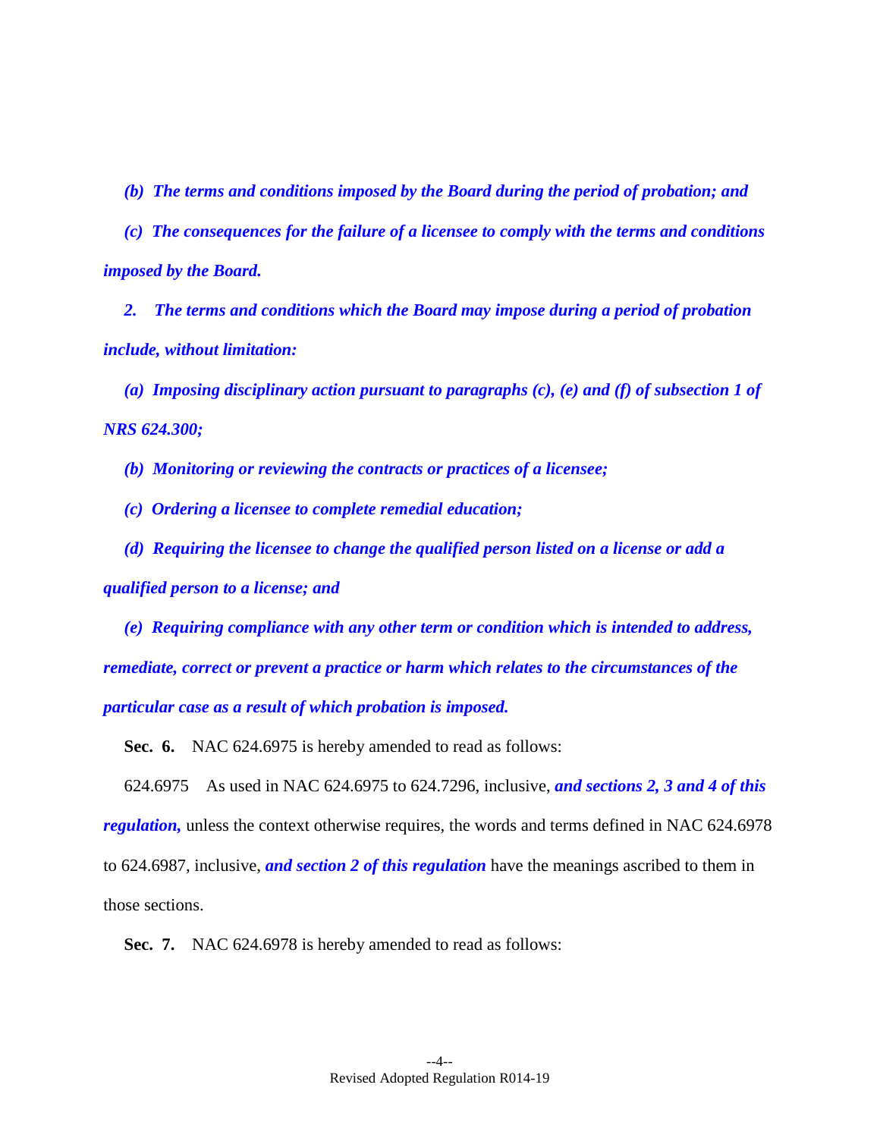*(b) The terms and conditions imposed by the Board during the period of probation; and*

*(c) The consequences for the failure of a licensee to comply with the terms and conditions imposed by the Board.*

*2. The terms and conditions which the Board may impose during a period of probation include, without limitation:*

*(a) Imposing disciplinary action pursuant to paragraphs (c), (e) and (f) of subsection 1 of NRS 624.300;*

*(b) Monitoring or reviewing the contracts or practices of a licensee;*

*(c) Ordering a licensee to complete remedial education;*

*(d) Requiring the licensee to change the qualified person listed on a license or add a* 

*qualified person to a license; and*

*(e) Requiring compliance with any other term or condition which is intended to address, remediate, correct or prevent a practice or harm which relates to the circumstances of the particular case as a result of which probation is imposed.*

<span id="page-8-0"></span>**Sec. 6.** NAC 624.6975 is hereby amended to read as follows:

624.6975 As used in NAC 624.6975 to 624.7296, inclusive, *and sections [2,](#page-7-1) [3](#page-7-3) an[d 4](#page-7-2) of this regulation*, unless the context otherwise requires, the words and terms defined in NAC 624.6978 to 624.6987, inclusive, *and section 2 of this regulation* have the meanings ascribed to them in those sections.

**Sec. 7.** NAC 624.6978 is hereby amended to read as follows: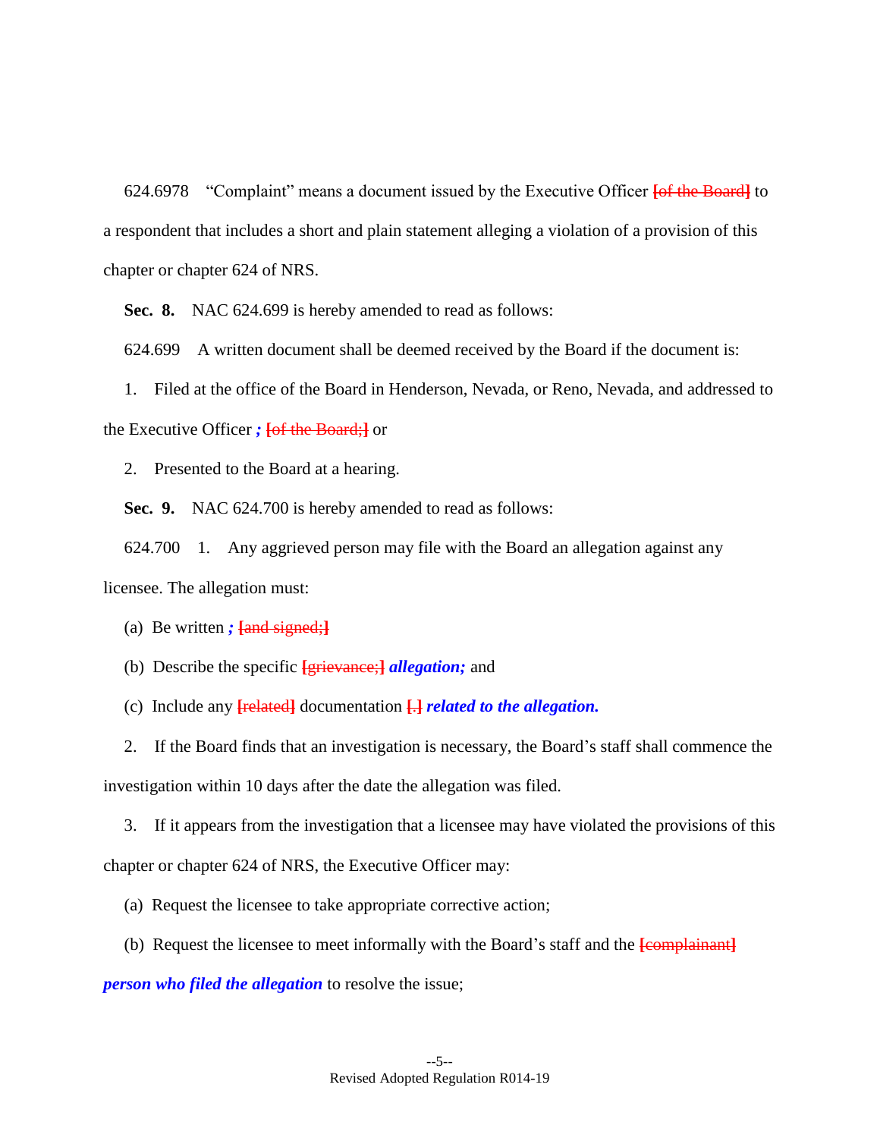624.6978 "Complaint" means a document issued by the Executive Officer **[**of the Board**]** to a respondent that includes a short and plain statement alleging a violation of a provision of this chapter or chapter 624 of NRS.

<span id="page-9-0"></span>**Sec. 8.** NAC 624.699 is hereby amended to read as follows:

624.699 A written document shall be deemed received by the Board if the document is:

1. Filed at the office of the Board in Henderson, Nevada, or Reno, Nevada, and addressed to the Executive Officer *;* **[**of the Board;**]** or

2. Presented to the Board at a hearing.

<span id="page-9-1"></span>**Sec. 9.** NAC 624.700 is hereby amended to read as follows:

624.700 1. Any aggrieved person may file with the Board an allegation against any licensee. The allegation must:

(a) Be written *;* **[**and signed;**]**

- (b) Describe the specific **[**grievance;**]** *allegation;* and
- (c) Include any **[**related**]** documentation **[**.**]** *related to the allegation.*

2. If the Board finds that an investigation is necessary, the Board's staff shall commence the investigation within 10 days after the date the allegation was filed.

3. If it appears from the investigation that a licensee may have violated the provisions of this chapter or chapter 624 of NRS, the Executive Officer may:

- (a) Request the licensee to take appropriate corrective action;
- (b) Request the licensee to meet informally with the Board's staff and the **[**complainant**]**

*person who filed the allegation* to resolve the issue;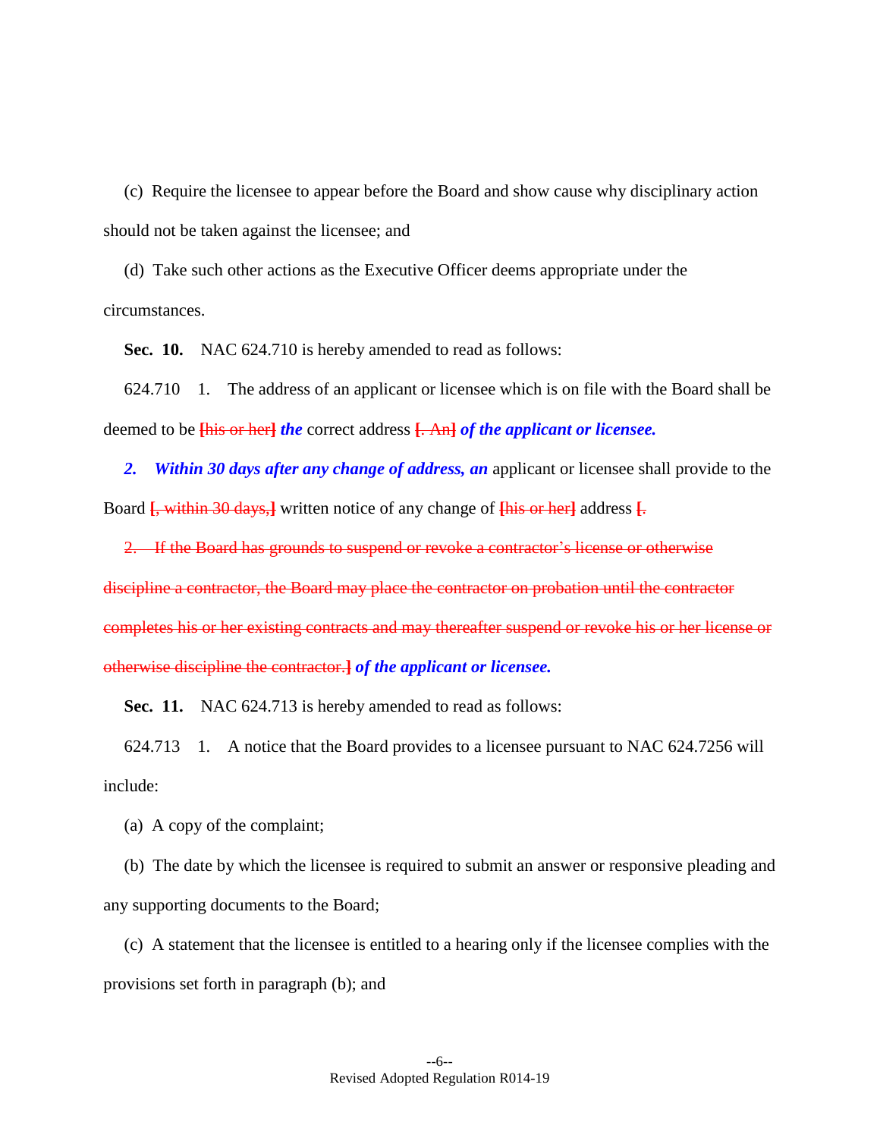(c) Require the licensee to appear before the Board and show cause why disciplinary action should not be taken against the licensee; and

(d) Take such other actions as the Executive Officer deems appropriate under the circumstances.

<span id="page-10-0"></span>**Sec. 10.** NAC 624.710 is hereby amended to read as follows:

624.710 1. The address of an applicant or licensee which is on file with the Board shall be deemed to be **[**his or her**]** *the* correct address **[**. An**]** *of the applicant or licensee.*

*2. Within 30 days after any change of address, an* applicant or licensee shall provide to the Board **[**, within 30 days,**]** written notice of any change of **[**his or her**]** address **[**.

2. If the Board has grounds to suspend or revoke a contractor's license or otherwise discipline a contractor, the Board may place the contractor on probation until the contractor completes his or her existing contracts and may thereafter suspend or revoke his or her license or otherwise discipline the contractor.**]** *of the applicant or licensee.*

<span id="page-10-1"></span>**Sec. 11.** NAC 624.713 is hereby amended to read as follows:

624.713 1. A notice that the Board provides to a licensee pursuant to NAC 624.7256 will include:

(a) A copy of the complaint;

(b) The date by which the licensee is required to submit an answer or responsive pleading and any supporting documents to the Board;

(c) A statement that the licensee is entitled to a hearing only if the licensee complies with the provisions set forth in paragraph (b); and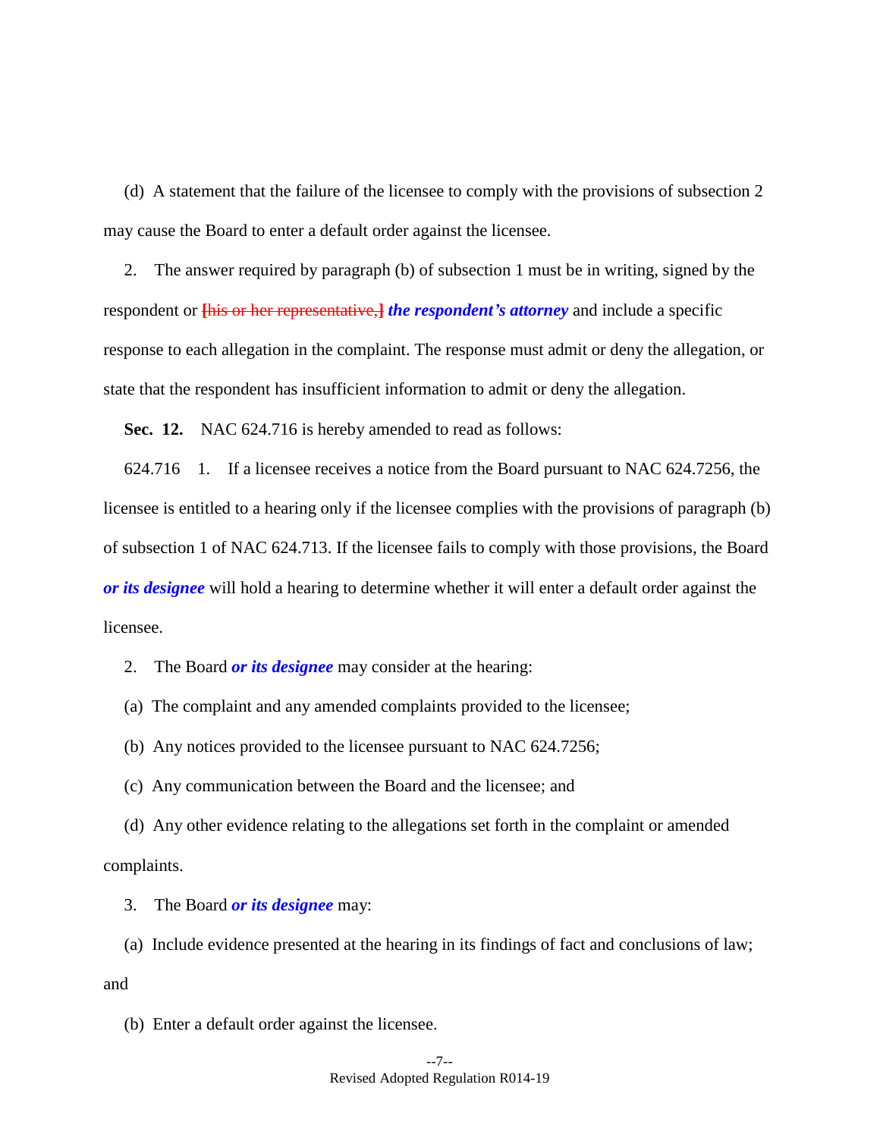(d) A statement that the failure of the licensee to comply with the provisions of subsection 2 may cause the Board to enter a default order against the licensee.

2. The answer required by paragraph (b) of subsection 1 must be in writing, signed by the respondent or **[**his or her representative,**]** *the respondent's attorney* and include a specific response to each allegation in the complaint. The response must admit or deny the allegation, or state that the respondent has insufficient information to admit or deny the allegation.

<span id="page-11-0"></span>**Sec. 12.** NAC 624.716 is hereby amended to read as follows:

624.716 1. If a licensee receives a notice from the Board pursuant to NAC 624.7256, the licensee is entitled to a hearing only if the licensee complies with the provisions of paragraph (b) of subsection 1 of NAC 624.713. If the licensee fails to comply with those provisions, the Board *or its designee* will hold a hearing to determine whether it will enter a default order against the licensee.

2. The Board *or its designee* may consider at the hearing:

(a) The complaint and any amended complaints provided to the licensee;

(b) Any notices provided to the licensee pursuant to NAC 624.7256;

(c) Any communication between the Board and the licensee; and

(d) Any other evidence relating to the allegations set forth in the complaint or amended complaints.

3. The Board *or its designee* may:

(a) Include evidence presented at the hearing in its findings of fact and conclusions of law; and

(b) Enter a default order against the licensee.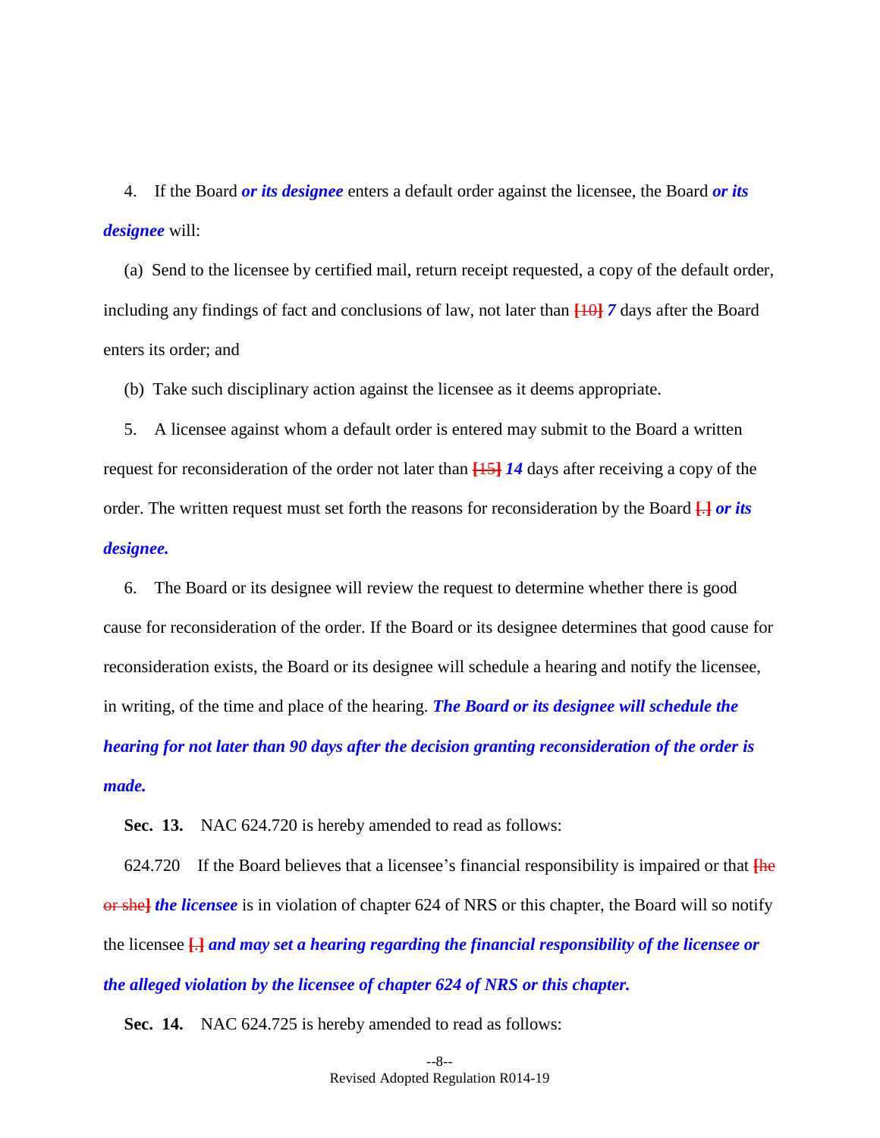4. If the Board *or its designee* enters a default order against the licensee, the Board *or its designee* will:

(a) Send to the licensee by certified mail, return receipt requested, a copy of the default order, including any findings of fact and conclusions of law, not later than **[**10**]** *7* days after the Board enters its order; and

(b) Take such disciplinary action against the licensee as it deems appropriate.

5. A licensee against whom a default order is entered may submit to the Board a written request for reconsideration of the order not later than **[**15**]** *14* days after receiving a copy of the order. The written request must set forth the reasons for reconsideration by the Board **[**.**]** *or its designee.*

6. The Board or its designee will review the request to determine whether there is good cause for reconsideration of the order. If the Board or its designee determines that good cause for reconsideration exists, the Board or its designee will schedule a hearing and notify the licensee, in writing, of the time and place of the hearing. *The Board or its designee will schedule the hearing for not later than 90 days after the decision granting reconsideration of the order is made.*

<span id="page-12-0"></span>**Sec. 13.** NAC 624.720 is hereby amended to read as follows:

624.720 If the Board believes that a licensee's financial responsibility is impaired or that **[**he or she**]** *the licensee* is in violation of chapter 624 of NRS or this chapter, the Board will so notify the licensee **[**.**]** *and may set a hearing regarding the financial responsibility of the licensee or the alleged violation by the licensee of chapter 624 of NRS or this chapter.*

<span id="page-12-1"></span>**Sec. 14.** NAC 624.725 is hereby amended to read as follows: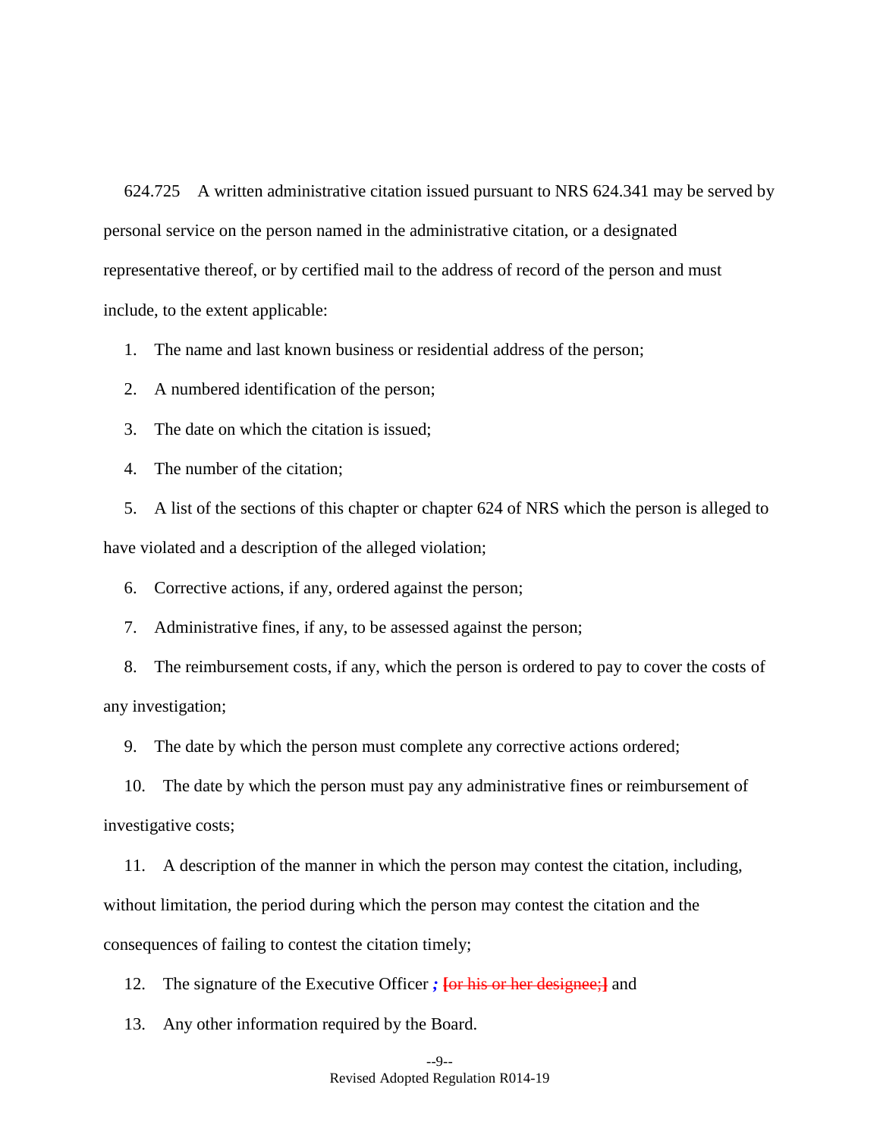624.725 A written administrative citation issued pursuant to NRS 624.341 may be served by personal service on the person named in the administrative citation, or a designated representative thereof, or by certified mail to the address of record of the person and must include, to the extent applicable:

1. The name and last known business or residential address of the person;

2. A numbered identification of the person;

3. The date on which the citation is issued;

4. The number of the citation;

5. A list of the sections of this chapter or chapter 624 of NRS which the person is alleged to have violated and a description of the alleged violation;

6. Corrective actions, if any, ordered against the person;

7. Administrative fines, if any, to be assessed against the person;

8. The reimbursement costs, if any, which the person is ordered to pay to cover the costs of any investigation;

9. The date by which the person must complete any corrective actions ordered;

10. The date by which the person must pay any administrative fines or reimbursement of investigative costs;

11. A description of the manner in which the person may contest the citation, including, without limitation, the period during which the person may contest the citation and the consequences of failing to contest the citation timely;

12. The signature of the Executive Officer *;* **[**or his or her designee;**]** and

13. Any other information required by the Board.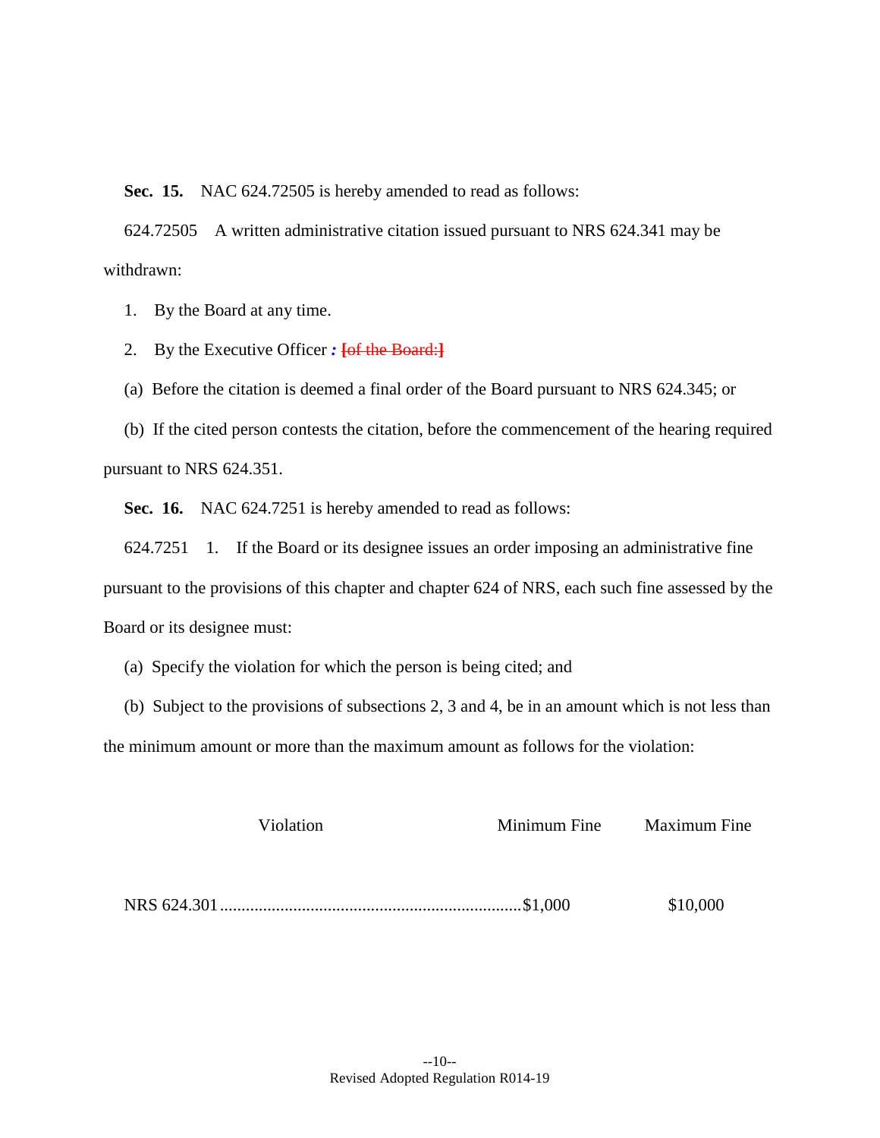<span id="page-14-0"></span>**Sec. 15.** NAC 624.72505 is hereby amended to read as follows:

624.72505 A written administrative citation issued pursuant to NRS 624.341 may be withdrawn:

1. By the Board at any time.

2. By the Executive Officer *:* **[**of the Board:**]**

(a) Before the citation is deemed a final order of the Board pursuant to NRS 624.345; or

(b) If the cited person contests the citation, before the commencement of the hearing required pursuant to NRS 624.351.

<span id="page-14-1"></span>**Sec. 16.** NAC 624.7251 is hereby amended to read as follows:

624.7251 1. If the Board or its designee issues an order imposing an administrative fine pursuant to the provisions of this chapter and chapter 624 of NRS, each such fine assessed by the Board or its designee must:

(a) Specify the violation for which the person is being cited; and

(b) Subject to the provisions of subsections 2, 3 and 4, be in an amount which is not less than the minimum amount or more than the maximum amount as follows for the violation:

| Violation | Minimum Fine | <b>Maximum Fine</b> |
|-----------|--------------|---------------------|
|           |              |                     |
|           |              |                     |
|           |              | \$10,000            |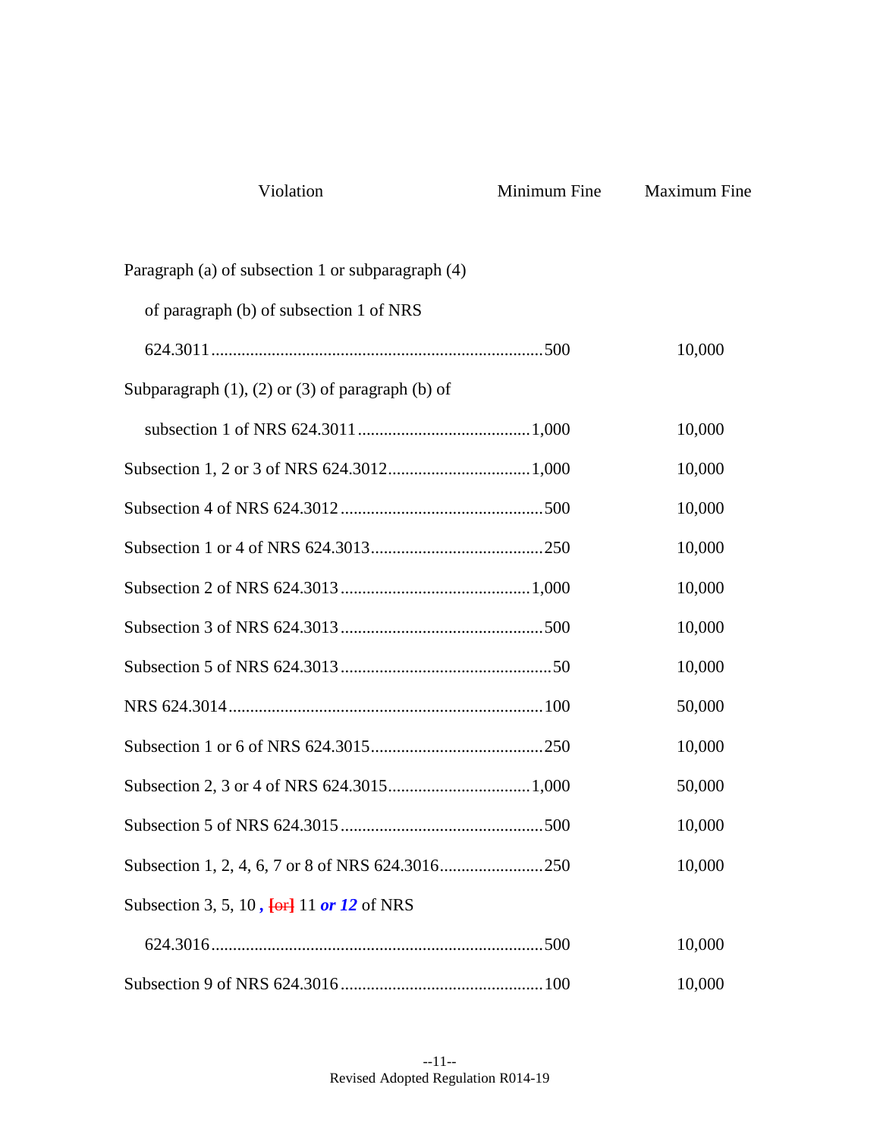| Violation                                                    | Minimum Fine | <b>Maximum Fine</b> |
|--------------------------------------------------------------|--------------|---------------------|
| Paragraph (a) of subsection 1 or subparagraph (4)            |              |                     |
| of paragraph (b) of subsection 1 of NRS                      |              |                     |
|                                                              |              | 10,000              |
| Subparagraph $(1)$ , $(2)$ or $(3)$ of paragraph $(b)$ of    |              |                     |
|                                                              |              | 10,000              |
|                                                              |              | 10,000              |
|                                                              |              | 10,000              |
|                                                              |              | 10,000              |
|                                                              |              | 10,000              |
|                                                              |              | 10,000              |
|                                                              |              | 10,000              |
|                                                              |              | 50,000              |
|                                                              |              | 10,000              |
|                                                              |              | 50,000              |
|                                                              |              | 10,000              |
|                                                              |              | 10,000              |
| Subsection 3, 5, 10, $\overline{\text{ter}}$ 11 or 12 of NRS |              |                     |
|                                                              |              | 10,000              |
|                                                              |              | 10,000              |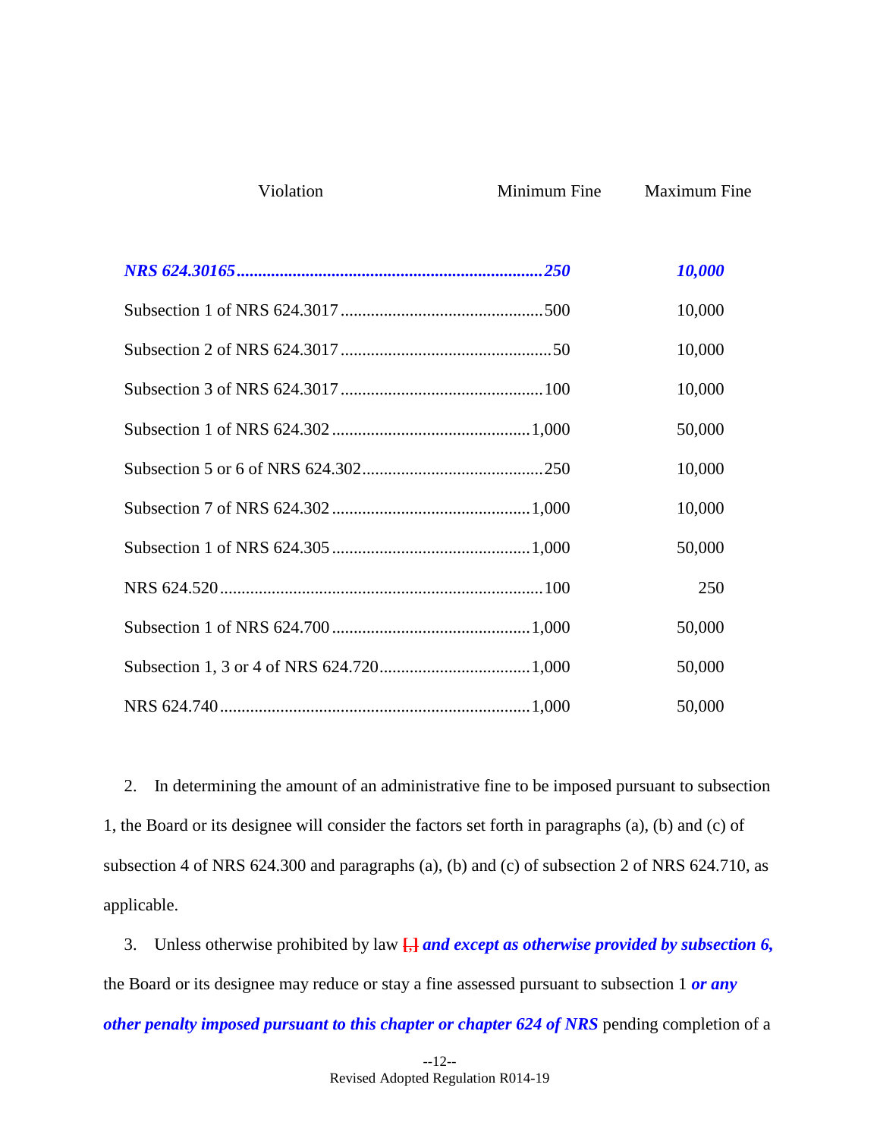| 10,000 |
|--------|
| 10,000 |
| 10,000 |
| 10,000 |
| 50,000 |
| 10,000 |
| 10,000 |
| 50,000 |
| 250    |
| 50,000 |
| 50,000 |
| 50,000 |

Violation Minimum Fine Maximum Fine

2. In determining the amount of an administrative fine to be imposed pursuant to subsection 1, the Board or its designee will consider the factors set forth in paragraphs (a), (b) and (c) of subsection 4 of NRS 624.300 and paragraphs (a), (b) and (c) of subsection 2 of NRS 624.710, as applicable.

3. Unless otherwise prohibited by law **[**,**]** *and except as otherwise provided by subsection 6,*  the Board or its designee may reduce or stay a fine assessed pursuant to subsection 1 *or any other penalty imposed pursuant to this chapter or chapter 624 of NRS* pending completion of a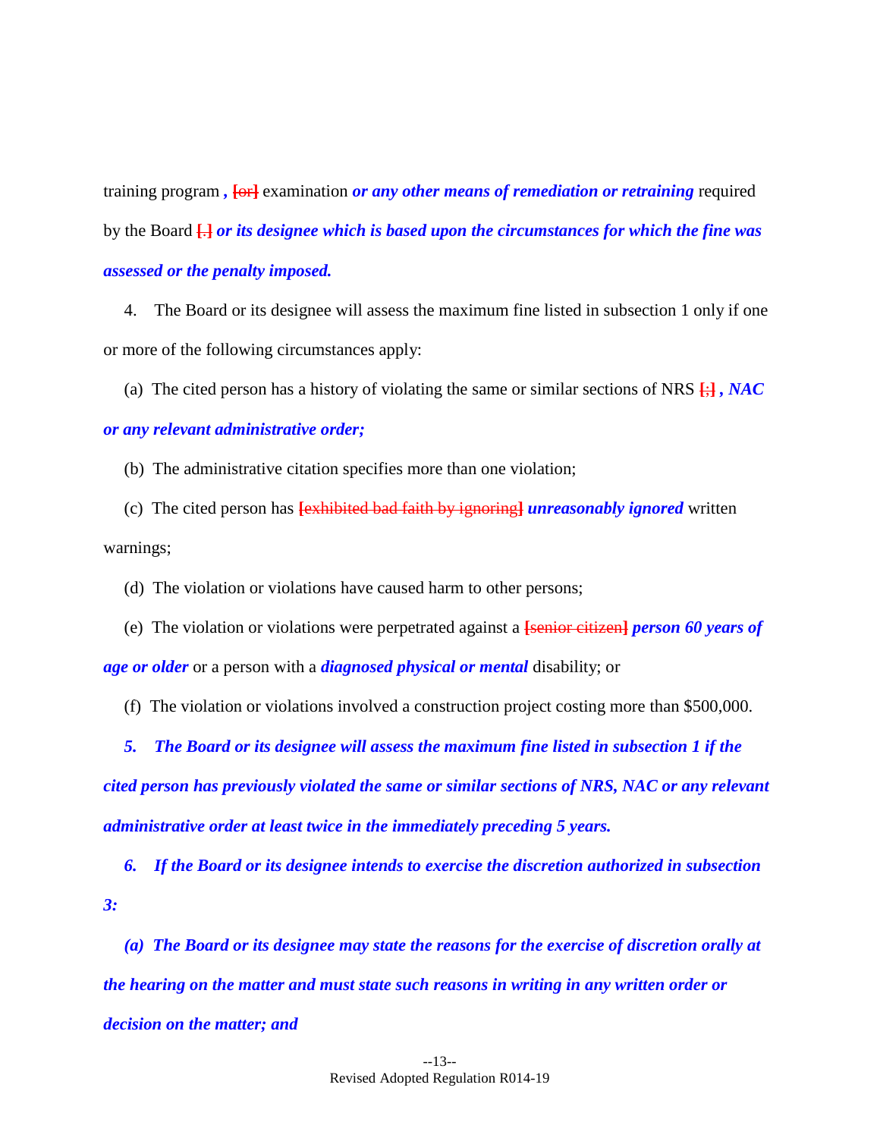training program *,* **[**or**]** examination *or any other means of remediation or retraining* required by the Board **[**.**]** *or its designee which is based upon the circumstances for which the fine was assessed or the penalty imposed.*

4. The Board or its designee will assess the maximum fine listed in subsection 1 only if one or more of the following circumstances apply:

(a) The cited person has a history of violating the same or similar sections of NRS **[**;**]** *, NAC* 

### *or any relevant administrative order;*

(b) The administrative citation specifies more than one violation;

(c) The cited person has **[**exhibited bad faith by ignoring**]** *unreasonably ignored* written warnings;

(d) The violation or violations have caused harm to other persons;

(e) The violation or violations were perpetrated against a **[**senior citizen**]** *person 60 years of age or older* or a person with a *diagnosed physical or mental* disability; or

(f) The violation or violations involved a construction project costing more than \$500,000.

*5. The Board or its designee will assess the maximum fine listed in subsection 1 if the cited person has previously violated the same or similar sections of NRS, NAC or any relevant administrative order at least twice in the immediately preceding 5 years.*

*6. If the Board or its designee intends to exercise the discretion authorized in subsection 3:*

*(a) The Board or its designee may state the reasons for the exercise of discretion orally at the hearing on the matter and must state such reasons in writing in any written order or decision on the matter; and*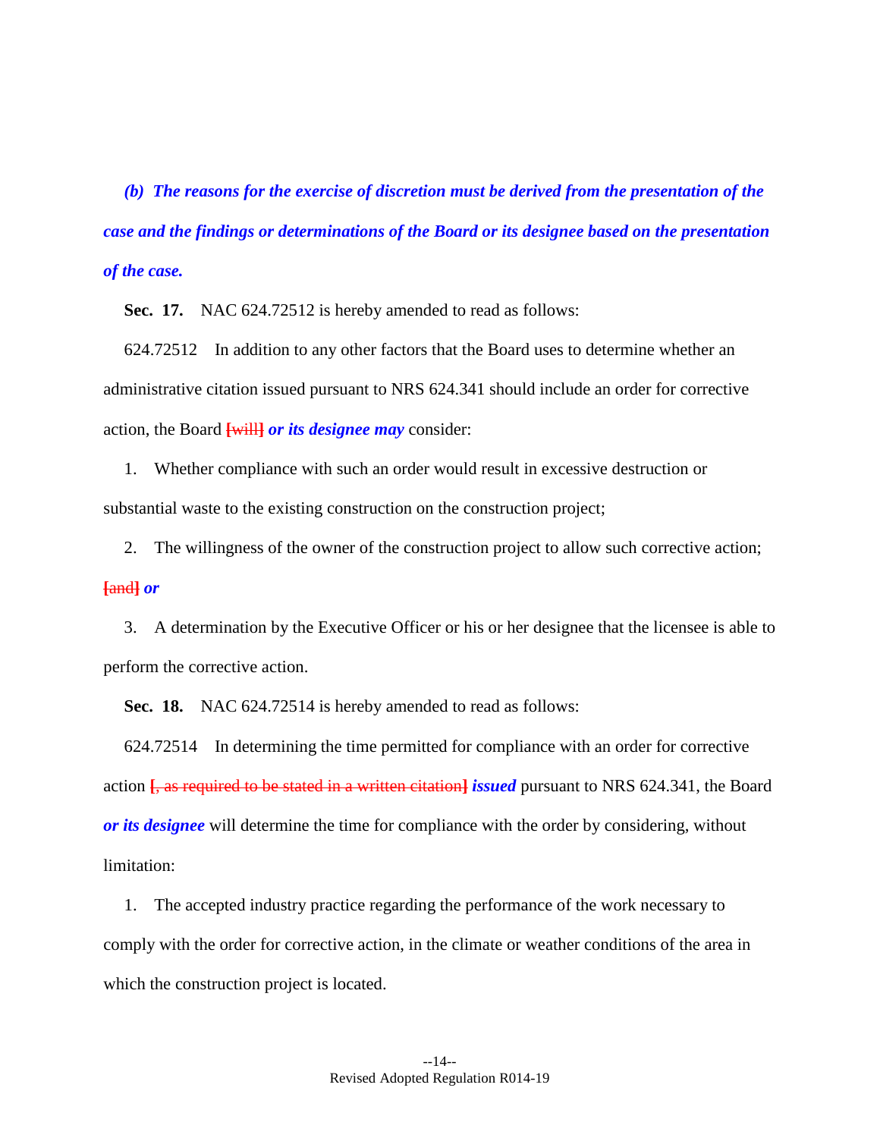*(b) The reasons for the exercise of discretion must be derived from the presentation of the case and the findings or determinations of the Board or its designee based on the presentation of the case.*

<span id="page-18-1"></span>**Sec. 17.** NAC 624.72512 is hereby amended to read as follows:

624.72512 In addition to any other factors that the Board uses to determine whether an administrative citation issued pursuant to NRS 624.341 should include an order for corrective action, the Board **[**will**]** *or its designee may* consider:

1. Whether compliance with such an order would result in excessive destruction or substantial waste to the existing construction on the construction project;

2. The willingness of the owner of the construction project to allow such corrective action; **[**and**]** *or*

3. A determination by the Executive Officer or his or her designee that the licensee is able to perform the corrective action.

<span id="page-18-0"></span>**Sec. 18.** NAC 624.72514 is hereby amended to read as follows:

624.72514 In determining the time permitted for compliance with an order for corrective action **[**, as required to be stated in a written citation**]** *issued* pursuant to NRS 624.341, the Board *or its designee* will determine the time for compliance with the order by considering, without limitation:

1. The accepted industry practice regarding the performance of the work necessary to comply with the order for corrective action, in the climate or weather conditions of the area in which the construction project is located.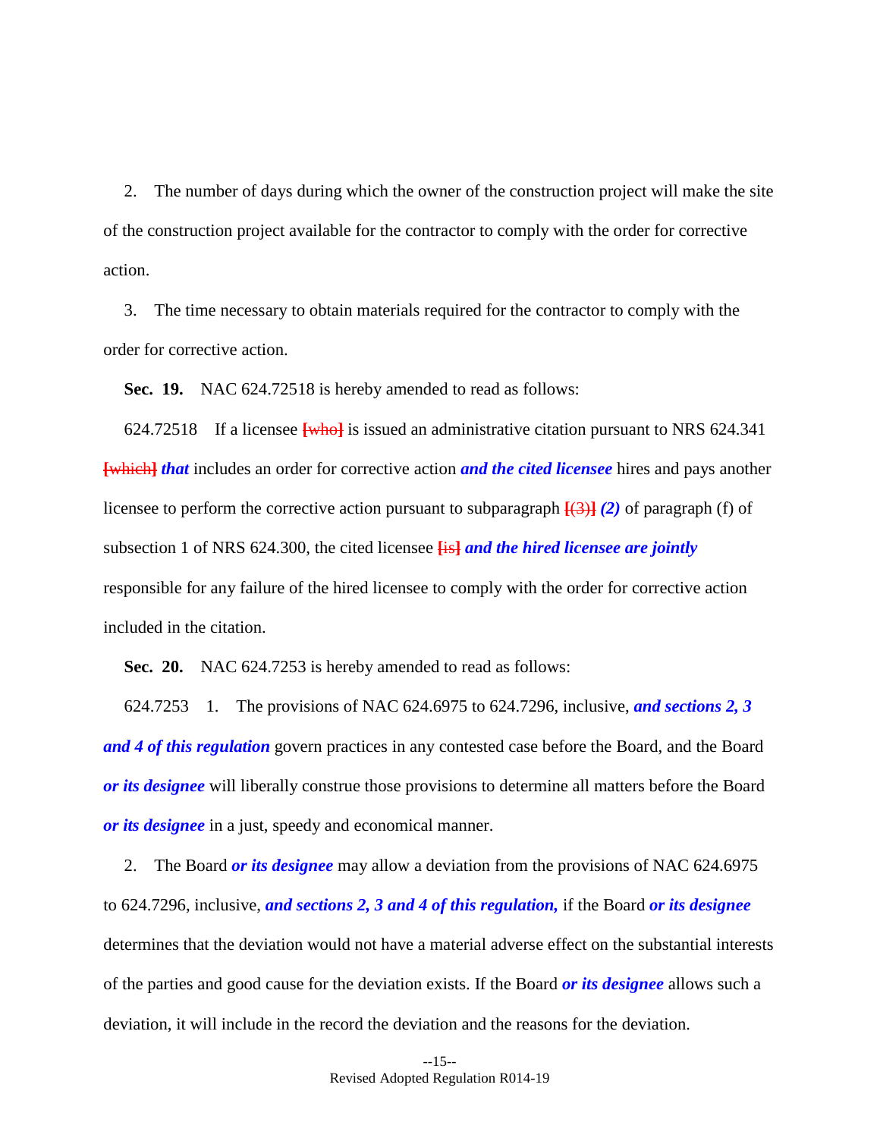2. The number of days during which the owner of the construction project will make the site of the construction project available for the contractor to comply with the order for corrective action.

3. The time necessary to obtain materials required for the contractor to comply with the order for corrective action.

<span id="page-19-1"></span>**Sec. 19.** NAC 624.72518 is hereby amended to read as follows:

624.72518 If a licensee **[**who**]** is issued an administrative citation pursuant to NRS 624.341 **[**which**]** *that* includes an order for corrective action *and the cited licensee* hires and pays another licensee to perform the corrective action pursuant to subparagraph **[**(3)**]** *(2)* of paragraph (f) of subsection 1 of NRS 624.300, the cited licensee **[**is**]** *and the hired licensee are jointly*  responsible for any failure of the hired licensee to comply with the order for corrective action included in the citation.

<span id="page-19-0"></span>**Sec. 20.** NAC 624.7253 is hereby amended to read as follows:

624.7253 1. The provisions of NAC 624.6975 to 624.7296, inclusive, *and sections [2,](#page-7-1) [3](#page-7-3) and [4](#page-7-2) of this regulation* govern practices in any contested case before the Board, and the Board *or its designee* will liberally construe those provisions to determine all matters before the Board *or its designee* in a just, speedy and economical manner.

2. The Board *or its designee* may allow a deviation from the provisions of NAC 624.6975 to 624.7296, inclusive, *and sections [2,](#page-7-1) [3](#page-7-3) and [4](#page-7-2) of this regulation,* if the Board *or its designee*  determines that the deviation would not have a material adverse effect on the substantial interests of the parties and good cause for the deviation exists. If the Board *or its designee* allows such a deviation, it will include in the record the deviation and the reasons for the deviation.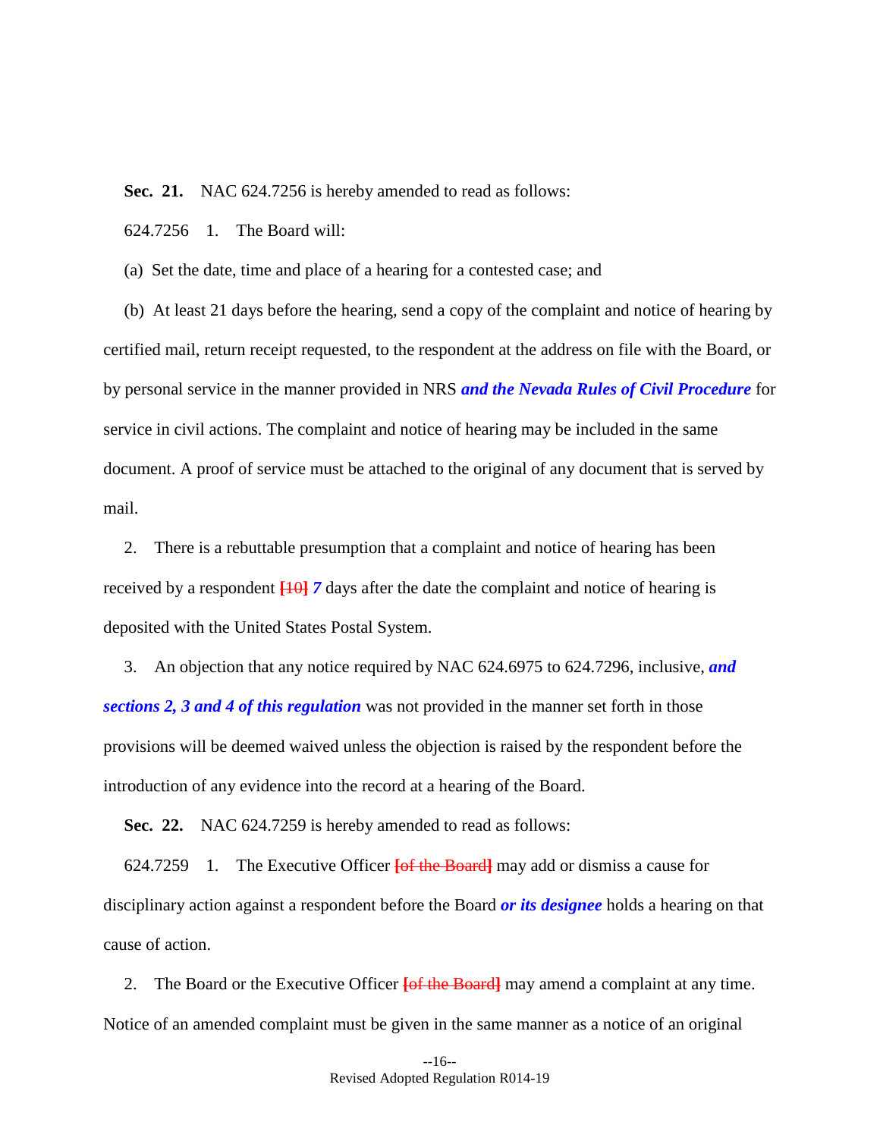<span id="page-20-0"></span>**Sec. 21.** NAC 624.7256 is hereby amended to read as follows:

624.7256 1. The Board will:

(a) Set the date, time and place of a hearing for a contested case; and

(b) At least 21 days before the hearing, send a copy of the complaint and notice of hearing by certified mail, return receipt requested, to the respondent at the address on file with the Board, or by personal service in the manner provided in NRS *and the Nevada Rules of Civil Procedure* for service in civil actions. The complaint and notice of hearing may be included in the same document. A proof of service must be attached to the original of any document that is served by mail.

2. There is a rebuttable presumption that a complaint and notice of hearing has been received by a respondent **[**10**]** *7* days after the date the complaint and notice of hearing is deposited with the United States Postal System.

3. An objection that any notice required by NAC 624.6975 to 624.7296, inclusive, *and sections [2,](#page-7-1) [3](#page-7-3) and [4](#page-7-2) of this regulation* was not provided in the manner set forth in those provisions will be deemed waived unless the objection is raised by the respondent before the introduction of any evidence into the record at a hearing of the Board.

<span id="page-20-1"></span>**Sec. 22.** NAC 624.7259 is hereby amended to read as follows:

624.7259 1. The Executive Officer **[**of the Board**]** may add or dismiss a cause for disciplinary action against a respondent before the Board *or its designee* holds a hearing on that cause of action.

2. The Board or the Executive Officer **[**of the Board**]** may amend a complaint at any time. Notice of an amended complaint must be given in the same manner as a notice of an original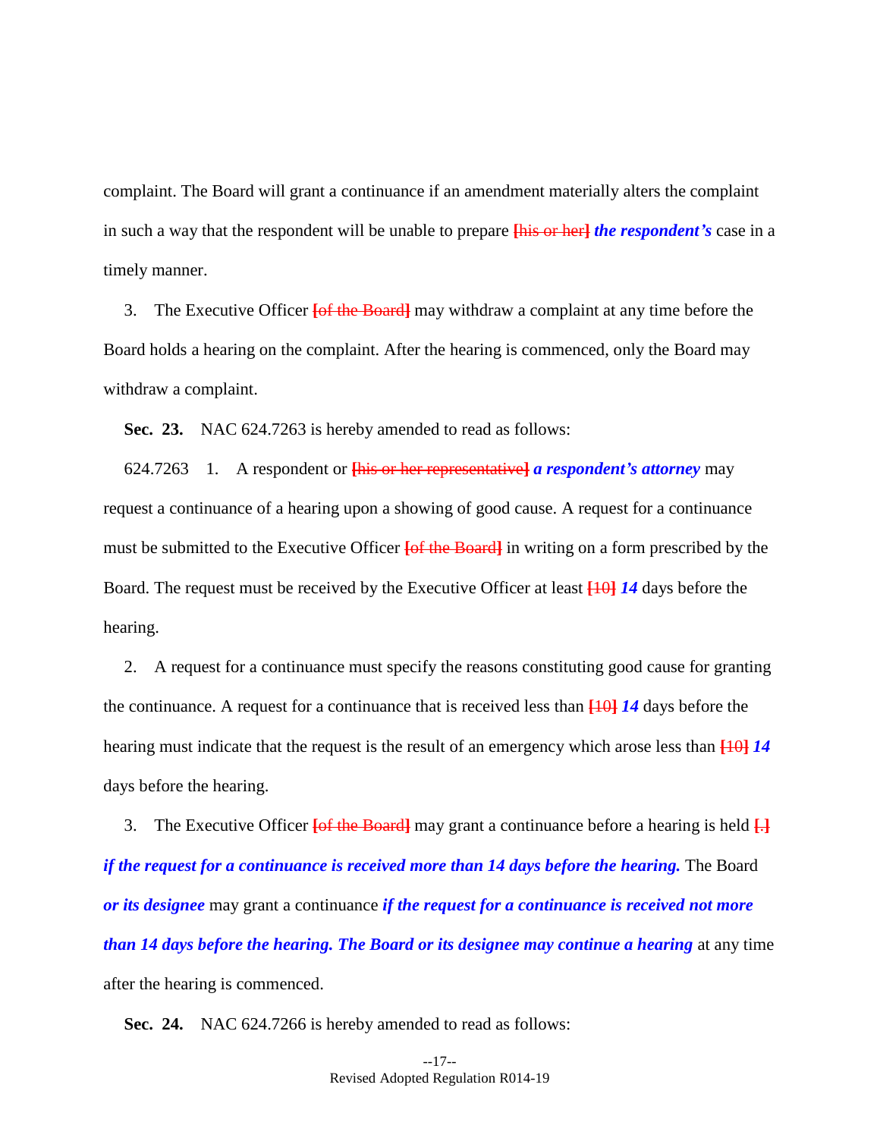complaint. The Board will grant a continuance if an amendment materially alters the complaint in such a way that the respondent will be unable to prepare **[**his or her**]** *the respondent's* case in a timely manner.

3. The Executive Officer **[**of the Board**]** may withdraw a complaint at any time before the Board holds a hearing on the complaint. After the hearing is commenced, only the Board may withdraw a complaint.

<span id="page-21-0"></span>**Sec. 23.** NAC 624.7263 is hereby amended to read as follows:

624.7263 1. A respondent or **[**his or her representative**]** *a respondent's attorney* may request a continuance of a hearing upon a showing of good cause. A request for a continuance must be submitted to the Executive Officer **[**of the Board**]** in writing on a form prescribed by the Board. The request must be received by the Executive Officer at least **[**10**]** *14* days before the hearing.

2. A request for a continuance must specify the reasons constituting good cause for granting the continuance. A request for a continuance that is received less than **[**10**]** *14* days before the hearing must indicate that the request is the result of an emergency which arose less than **[**10**]** *14*  days before the hearing.

3. The Executive Officer **[**of the Board**]** may grant a continuance before a hearing is held **[**.**]** *if the request for a continuance is received more than 14 days before the hearing.* The Board *or its designee* may grant a continuance *if the request for a continuance is received not more than 14 days before the hearing. The Board or its designee may continue a hearing* at any time after the hearing is commenced.

<span id="page-21-1"></span>**Sec. 24.** NAC 624.7266 is hereby amended to read as follows: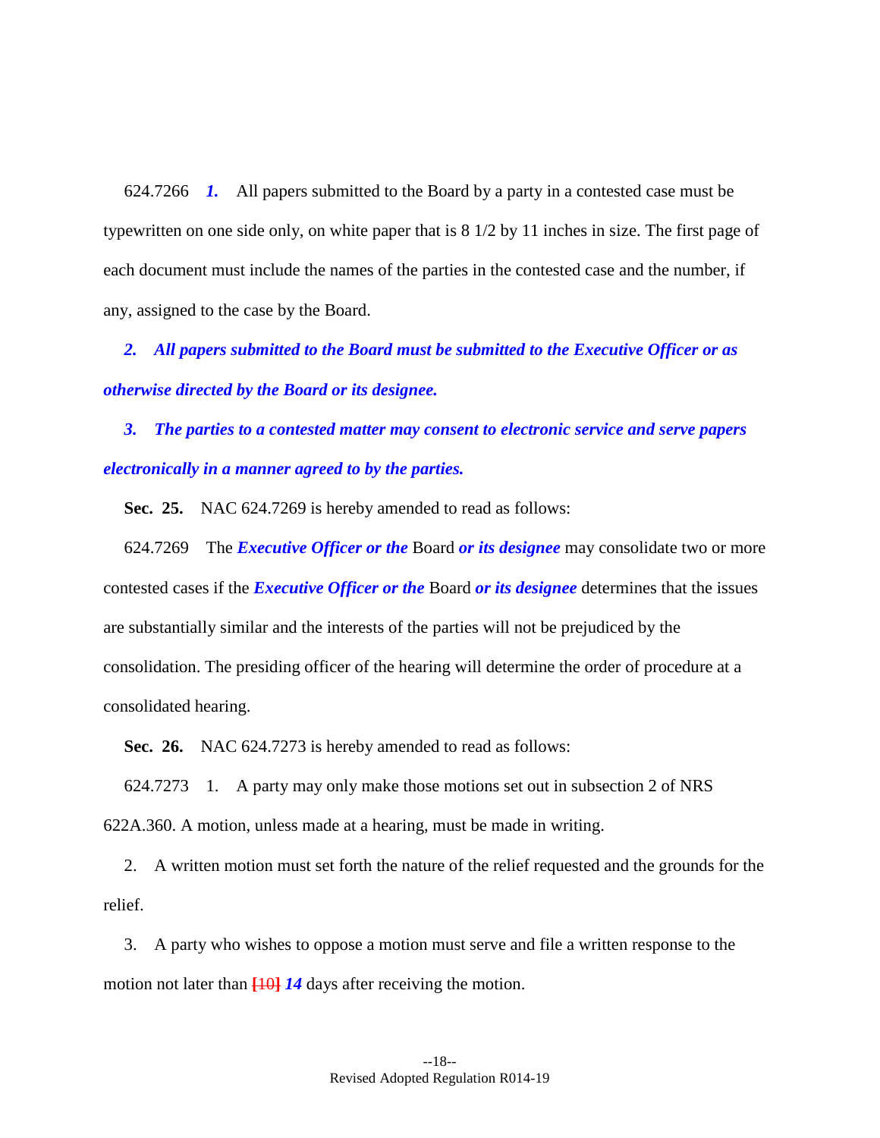624.7266 *1.* All papers submitted to the Board by a party in a contested case must be typewritten on one side only, on white paper that is 8 1/2 by 11 inches in size. The first page of each document must include the names of the parties in the contested case and the number, if any, assigned to the case by the Board.

*2. All papers submitted to the Board must be submitted to the Executive Officer or as otherwise directed by the Board or its designee.*

*3. The parties to a contested matter may consent to electronic service and serve papers electronically in a manner agreed to by the parties.*

<span id="page-22-1"></span>**Sec. 25.** NAC 624.7269 is hereby amended to read as follows:

624.7269 The *Executive Officer or the* Board *or its designee* may consolidate two or more contested cases if the *Executive Officer or the* Board *or its designee* determines that the issues are substantially similar and the interests of the parties will not be prejudiced by the consolidation. The presiding officer of the hearing will determine the order of procedure at a consolidated hearing.

<span id="page-22-0"></span>**Sec. 26.** NAC 624.7273 is hereby amended to read as follows:

624.7273 1. A party may only make those motions set out in subsection 2 of NRS 622A.360. A motion, unless made at a hearing, must be made in writing.

2. A written motion must set forth the nature of the relief requested and the grounds for the relief.

3. A party who wishes to oppose a motion must serve and file a written response to the motion not later than **[**10**]** *14* days after receiving the motion.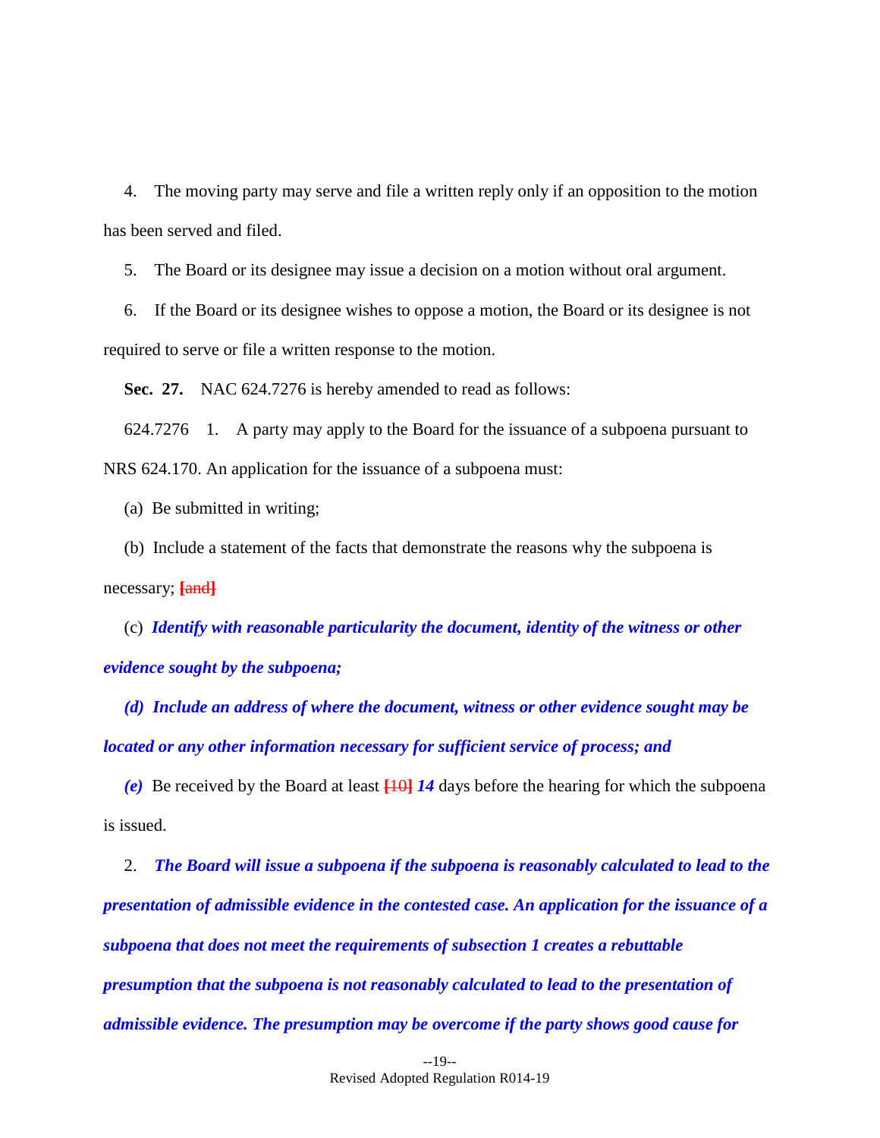4. The moving party may serve and file a written reply only if an opposition to the motion has been served and filed.

5. The Board or its designee may issue a decision on a motion without oral argument.

6. If the Board or its designee wishes to oppose a motion, the Board or its designee is not required to serve or file a written response to the motion.

<span id="page-23-0"></span>**Sec. 27.** NAC 624.7276 is hereby amended to read as follows:

624.7276 1. A party may apply to the Board for the issuance of a subpoena pursuant to NRS 624.170. An application for the issuance of a subpoena must:

(a) Be submitted in writing;

(b) Include a statement of the facts that demonstrate the reasons why the subpoena is necessary; **[**and**]**

(c) *Identify with reasonable particularity the document, identity of the witness or other evidence sought by the subpoena;*

*(d) Include an address of where the document, witness or other evidence sought may be located or any other information necessary for sufficient service of process; and*

*(e)* Be received by the Board at least **[**10**]** *14* days before the hearing for which the subpoena is issued.

2. *The Board will issue a subpoena if the subpoena is reasonably calculated to lead to the presentation of admissible evidence in the contested case. An application for the issuance of a subpoena that does not meet the requirements of subsection 1 creates a rebuttable presumption that the subpoena is not reasonably calculated to lead to the presentation of admissible evidence. The presumption may be overcome if the party shows good cause for*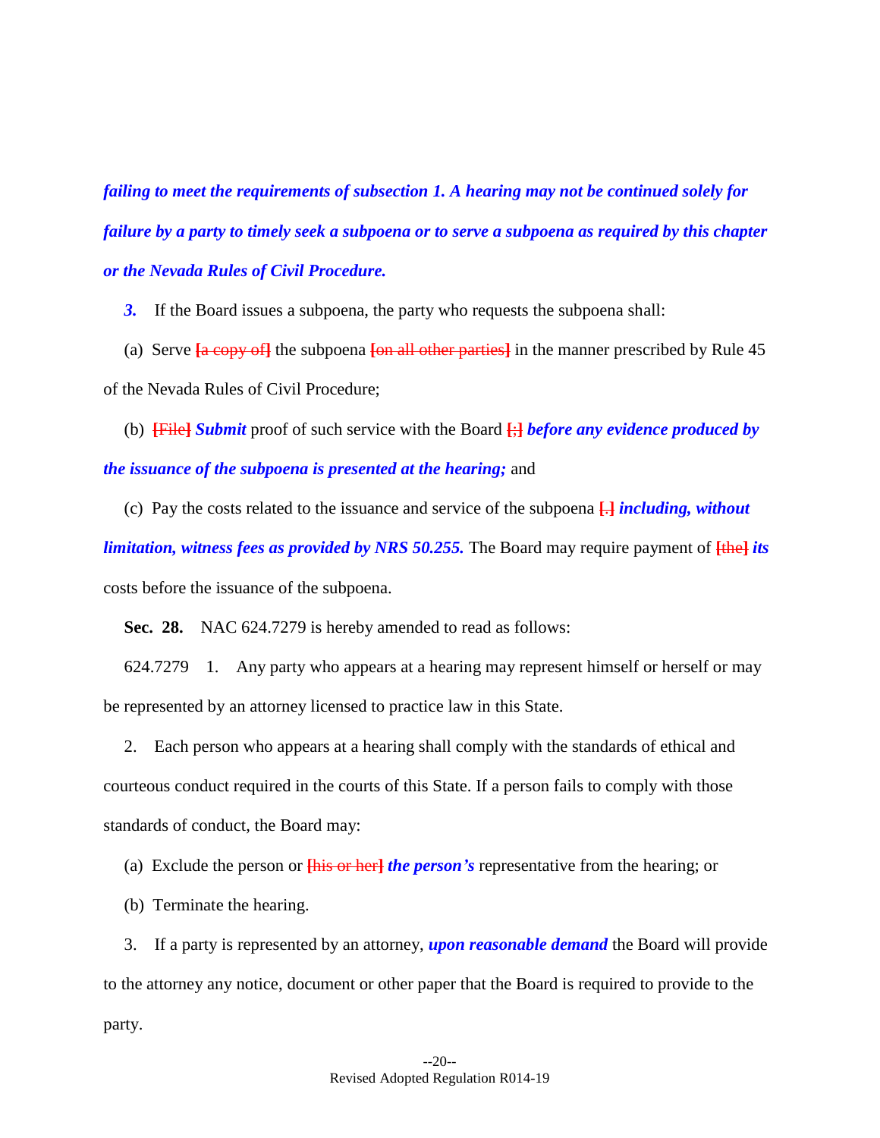*failing to meet the requirements of subsection 1. A hearing may not be continued solely for failure by a party to timely seek a subpoena or to serve a subpoena as required by this chapter or the Nevada Rules of Civil Procedure.*

*3.* If the Board issues a subpoena, the party who requests the subpoena shall:

(a) Serve **[**a copy of**]** the subpoena **[**on all other parties**]** in the manner prescribed by Rule 45 of the Nevada Rules of Civil Procedure;

(b) **[**File**]** *Submit* proof of such service with the Board **[**;**]** *before any evidence produced by the issuance of the subpoena is presented at the hearing;* and

(c) Pay the costs related to the issuance and service of the subpoena **[**.**]** *including, without* 

*limitation, witness fees as provided by NRS 50.255.* The Board may require payment of **[**the**]** *its*  costs before the issuance of the subpoena.

<span id="page-24-0"></span>**Sec. 28.** NAC 624.7279 is hereby amended to read as follows:

624.7279 1. Any party who appears at a hearing may represent himself or herself or may be represented by an attorney licensed to practice law in this State.

2. Each person who appears at a hearing shall comply with the standards of ethical and courteous conduct required in the courts of this State. If a person fails to comply with those standards of conduct, the Board may:

(a) Exclude the person or **[**his or her**]** *the person's* representative from the hearing; or

(b) Terminate the hearing.

3. If a party is represented by an attorney, *upon reasonable demand* the Board will provide to the attorney any notice, document or other paper that the Board is required to provide to the party.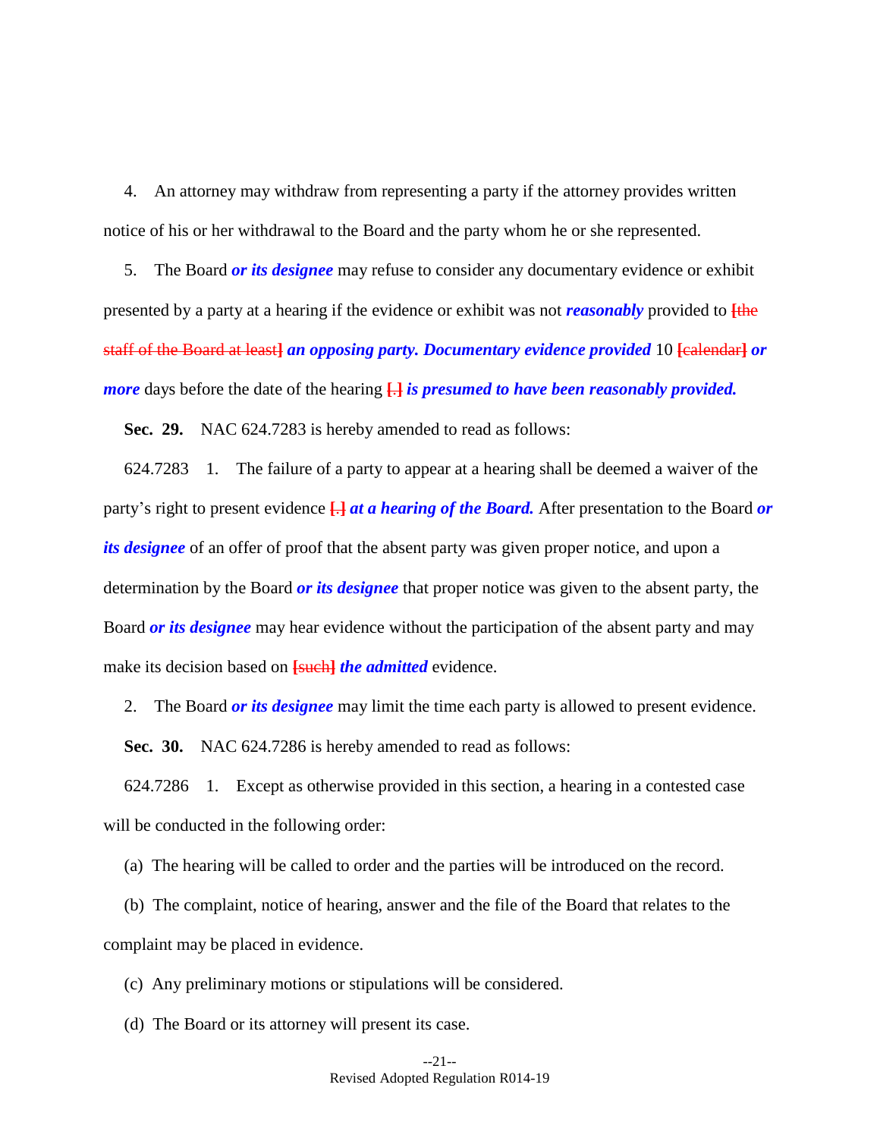4. An attorney may withdraw from representing a party if the attorney provides written notice of his or her withdrawal to the Board and the party whom he or she represented.

5. The Board *or its designee* may refuse to consider any documentary evidence or exhibit presented by a party at a hearing if the evidence or exhibit was not *reasonably* provided to **[**the staff of the Board at least**]** *an opposing party. Documentary evidence provided* 10 **[**calendar**]** *or more* days before the date of the hearing **[**.**]** *is presumed to have been reasonably provided.*

**Sec. 29.** NAC 624.7283 is hereby amended to read as follows:

624.7283 1. The failure of a party to appear at a hearing shall be deemed a waiver of the party's right to present evidence **[**.**]** *at a hearing of the Board.* After presentation to the Board *or its designee* of an offer of proof that the absent party was given proper notice, and upon a determination by the Board *or its designee* that proper notice was given to the absent party, the Board *or its designee* may hear evidence without the participation of the absent party and may make its decision based on **[such]** the admitted evidence.

2. The Board *or its designee* may limit the time each party is allowed to present evidence.

<span id="page-25-0"></span>**Sec. 30.** NAC 624.7286 is hereby amended to read as follows:

624.7286 1. Except as otherwise provided in this section, a hearing in a contested case will be conducted in the following order:

(a) The hearing will be called to order and the parties will be introduced on the record.

(b) The complaint, notice of hearing, answer and the file of the Board that relates to the complaint may be placed in evidence.

(c) Any preliminary motions or stipulations will be considered.

(d) The Board or its attorney will present its case.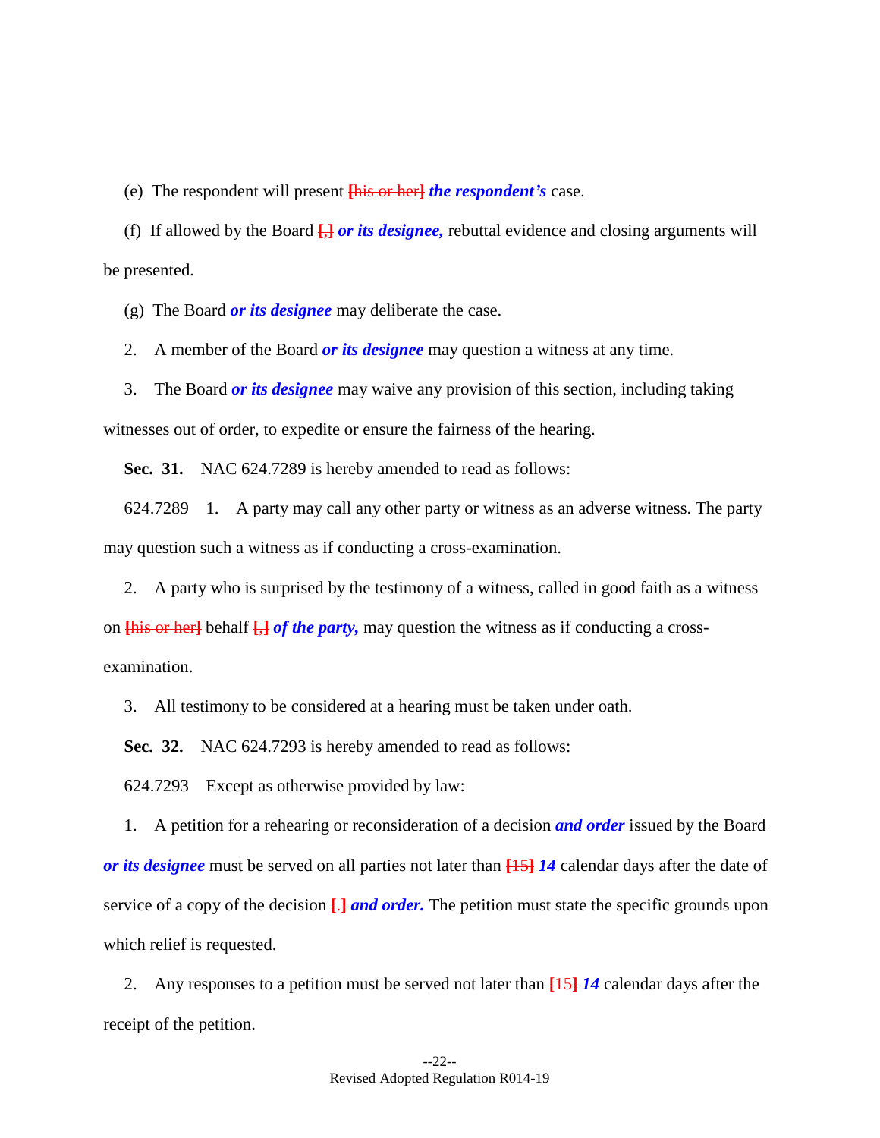(e) The respondent will present **[**his or her**]** *the respondent's* case.

(f) If allowed by the Board **[**,**]** *or its designee,* rebuttal evidence and closing arguments will be presented.

(g) The Board *or its designee* may deliberate the case.

2. A member of the Board *or its designee* may question a witness at any time.

3. The Board *or its designee* may waive any provision of this section, including taking witnesses out of order, to expedite or ensure the fairness of the hearing.

<span id="page-26-1"></span>**Sec. 31.** NAC 624.7289 is hereby amended to read as follows:

624.7289 1. A party may call any other party or witness as an adverse witness. The party may question such a witness as if conducting a cross-examination.

2. A party who is surprised by the testimony of a witness, called in good faith as a witness on **[**his or her**]** behalf **[**,**]** *of the party,* may question the witness as if conducting a cross-

examination.

3. All testimony to be considered at a hearing must be taken under oath.

<span id="page-26-0"></span>**Sec. 32.** NAC 624.7293 is hereby amended to read as follows:

624.7293 Except as otherwise provided by law:

1. A petition for a rehearing or reconsideration of a decision *and order* issued by the Board *or its designee* must be served on all parties not later than **[**15**]** *14* calendar days after the date of service of a copy of the decision **[**.**]** *and order.* The petition must state the specific grounds upon which relief is requested.

2. Any responses to a petition must be served not later than **[**15**]** *14* calendar days after the receipt of the petition.